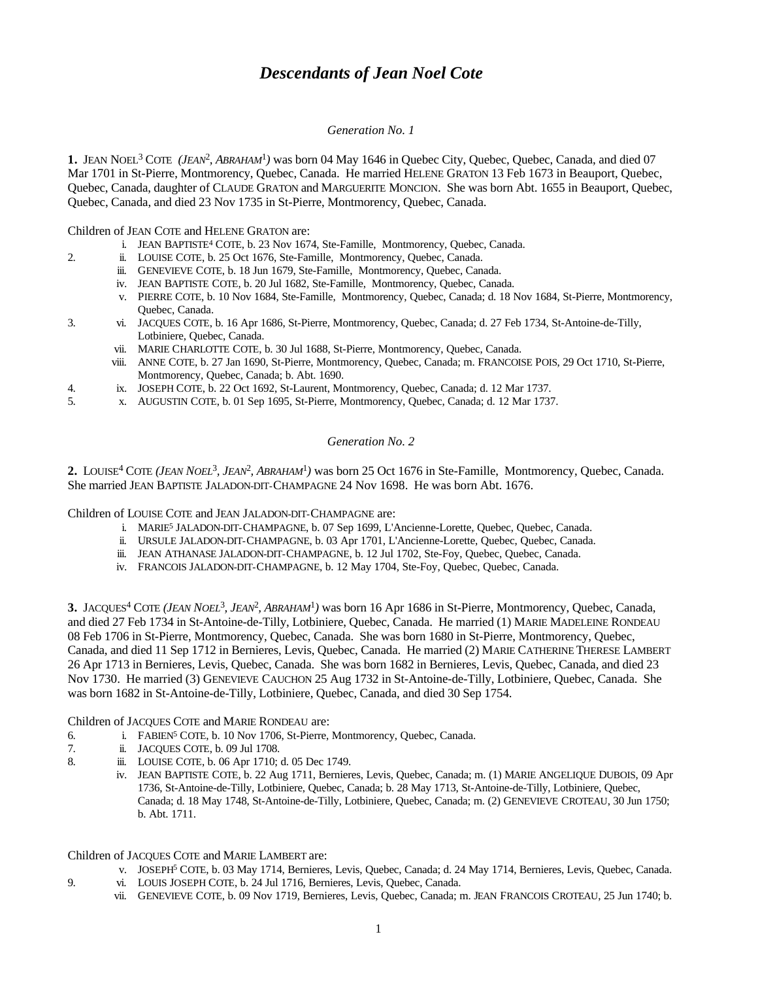# *Descendants of Jean Noel Cote*

## *Generation No. 1*

1. JEAN NOEL<sup>3</sup> COTE (JEAN<sup>2</sup>, ABRAHAM<sup>1</sup>) was born 04 May 1646 in Quebec City, Quebec, Quebec, Canada, and died 07 Mar 1701 in St-Pierre, Montmorency, Quebec, Canada. He married HELENE GRATON 13 Feb 1673 in Beauport, Quebec, Quebec, Canada, daughter of CLAUDE GRATON and MARGUERITE MONCION. She was born Abt. 1655 in Beauport, Quebec, Quebec, Canada, and died 23 Nov 1735 in St-Pierre, Montmorency, Quebec, Canada.

Children of JEAN COTE and HELENE GRATON are:

- i. JEAN BAPTISTE<sup>4</sup> COTE, b. 23 Nov 1674, Ste-Famille, Montmorency, Quebec, Canada.
- 2. ii. LOUISE COTE, b. 25 Oct 1676, Ste-Famille, Montmorency, Quebec, Canada.
	- iii. GENEVIEVE COTE, b. 18 Jun 1679, Ste-Famille, Montmorency, Quebec, Canada.
	- iv. JEAN BAPTISTE COTE, b. 20 Jul 1682, Ste-Famille, Montmorency, Quebec, Canada.
	- v. PIERRE COTE, b. 10 Nov 1684, Ste-Famille, Montmorency, Quebec, Canada; d. 18 Nov 1684, St-Pierre, Montmorency, Quebec, Canada.
- 3. vi. JACQUES COTE, b. 16 Apr 1686, St-Pierre, Montmorency, Quebec, Canada; d. 27 Feb 1734, St-Antoine-de-Tilly, Lotbiniere, Quebec, Canada.
	- vii. MARIE CHARLOTTE COTE, b. 30 Jul 1688, St-Pierre, Montmorency, Quebec, Canada.
	- viii. ANNE COTE, b. 27 Jan 1690, St-Pierre, Montmorency, Quebec, Canada; m. FRANCOISE POIS, 29 Oct 1710, St-Pierre, Montmorency, Quebec, Canada; b. Abt. 1690.
- 4. ix. JOSEPH COTE, b. 22 Oct 1692, St-Laurent, Montmorency, Quebec, Canada; d. 12 Mar 1737.
- 5. x. AUGUSTIN COTE, b. 01 Sep 1695, St-Pierre, Montmorency, Quebec, Canada; d. 12 Mar 1737.

# *Generation No. 2*

**2.** LOUISE<sup>4</sup> COTE *(JEAN NOEL*<sup>3</sup> *, JEAN*<sup>2</sup> *, ABRAHAM*<sup>1</sup> *)* was born 25 Oct 1676 in Ste-Famille, Montmorency, Quebec, Canada. She married JEAN BAPTISTE JALADON-DIT-CHAMPAGNE 24 Nov 1698. He was born Abt. 1676.

Children of LOUISE COTE and JEAN JALADON-DIT-CHAMPAGNE are:

- i. MARIE<sup>5</sup> JALADON-DIT-CHAMPAGNE, b. 07 Sep 1699, L'Ancienne-Lorette, Quebec, Quebec, Canada.
- ii. URSULE JALADON-DIT-CHAMPAGNE, b. 03 Apr 1701, L'Ancienne-Lorette, Quebec, Quebec, Canada.
- iii. JEAN ATHANASE JALADON-DIT-CHAMPAGNE, b. 12 Jul 1702, Ste-Foy, Quebec, Quebec, Canada.
- iv. FRANCOIS JALADON-DIT-CHAMPAGNE, b. 12 May 1704, Ste-Foy, Quebec, Quebec, Canada.

**3.** JACQUES<sup>4</sup> COTE *(JEAN NOEL*<sup>3</sup> *, JEAN*<sup>2</sup> *, ABRAHAM*<sup>1</sup> *)* was born 16 Apr 1686 in St-Pierre, Montmorency, Quebec, Canada, and died 27 Feb 1734 in St-Antoine-de-Tilly, Lotbiniere, Quebec, Canada. He married (1) MARIE MADELEINE RONDEAU 08 Feb 1706 in St-Pierre, Montmorency, Quebec, Canada. She was born 1680 in St-Pierre, Montmorency, Quebec, Canada, and died 11 Sep 1712 in Bernieres, Levis, Quebec, Canada. He married (2) MARIE CATHERINE THERESE LAMBERT 26 Apr 1713 in Bernieres, Levis, Quebec, Canada. She was born 1682 in Bernieres, Levis, Quebec, Canada, and died 23 Nov 1730. He married (3) GENEVIEVE CAUCHON 25 Aug 1732 in St-Antoine-de-Tilly, Lotbiniere, Quebec, Canada. She was born 1682 in St-Antoine-de-Tilly, Lotbiniere, Quebec, Canada, and died 30 Sep 1754.

Children of JACQUES COTE and MARIE RONDEAU are:

- 6. i. FABIEN<sup>5</sup> COTE, b. 10 Nov 1706, St-Pierre, Montmorency, Quebec, Canada.
- 7. ii. JACQUES COTE, b. 09 Jul 1708.
- 8. iii. LOUISE COTE, b. 06 Apr 1710; d. 05 Dec 1749.
	- iv. JEAN BAPTISTE COTE, b. 22 Aug 1711, Bernieres, Levis, Quebec, Canada; m. (1) MARIE ANGELIQUE DUBOIS, 09 Apr 1736, St-Antoine-de-Tilly, Lotbiniere, Quebec, Canada; b. 28 May 1713, St-Antoine-de-Tilly, Lotbiniere, Quebec, Canada; d. 18 May 1748, St-Antoine-de-Tilly, Lotbiniere, Quebec, Canada; m. (2) GENEVIEVE CROTEAU, 30 Jun 1750; b. Abt. 1711.

Children of JACQUES COTE and MARIE LAMBERT are:

- v. JOSEPH<sup>5</sup> COTE, b. 03 May 1714, Bernieres, Levis, Quebec, Canada; d. 24 May 1714, Bernieres, Levis, Quebec, Canada.
- 9. vi. LOUIS JOSEPH COTE, b. 24 Jul 1716, Bernieres, Levis, Quebec, Canada.
	- vii. GENEVIEVE COTE, b. 09 Nov 1719, Bernieres, Levis, Quebec, Canada; m. JEAN FRANCOIS CROTEAU, 25 Jun 1740; b.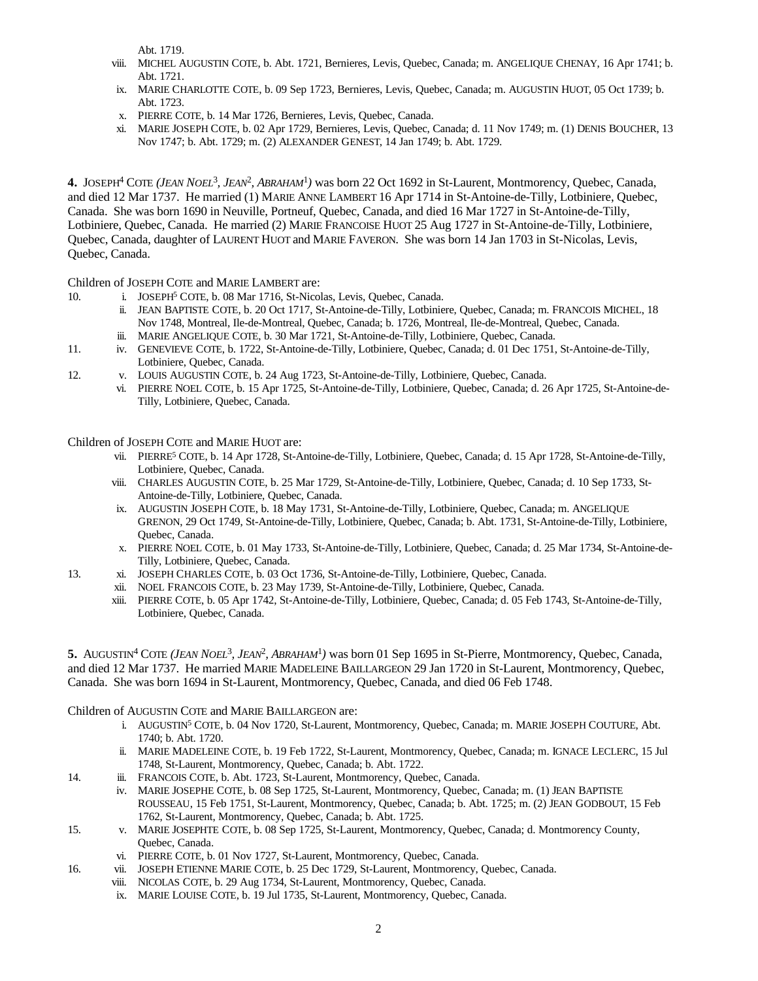Abt. 1719.

- viii. MICHEL AUGUSTIN COTE, b. Abt. 1721, Bernieres, Levis, Quebec, Canada; m. ANGELIQUE CHENAY, 16 Apr 1741; b. Abt. 1721.
- ix. MARIE CHARLOTTE COTE, b. 09 Sep 1723, Bernieres, Levis, Quebec, Canada; m. AUGUSTIN HUOT, 05 Oct 1739; b. Abt. 1723.
- x. PIERRE COTE, b. 14 Mar 1726, Bernieres, Levis, Quebec, Canada.
- xi. MARIE JOSEPH COTE, b. 02 Apr 1729, Bernieres, Levis, Quebec, Canada; d. 11 Nov 1749; m. (1) DENIS BOUCHER, 13 Nov 1747; b. Abt. 1729; m. (2) ALEXANDER GENEST, 14 Jan 1749; b. Abt. 1729.

**4.** JOSEPH<sup>4</sup> COTE *(JEAN NOEL*<sup>3</sup> *, JEAN*<sup>2</sup> *, ABRAHAM*<sup>1</sup> *)* was born 22 Oct 1692 in St-Laurent, Montmorency, Quebec, Canada, and died 12 Mar 1737. He married (1) MARIE ANNE LAMBERT 16 Apr 1714 in St-Antoine-de-Tilly, Lotbiniere, Quebec, Canada. She was born 1690 in Neuville, Portneuf, Quebec, Canada, and died 16 Mar 1727 in St-Antoine-de-Tilly, Lotbiniere, Quebec, Canada. He married (2) MARIE FRANCOISE HUOT 25 Aug 1727 in St-Antoine-de-Tilly, Lotbiniere, Quebec, Canada, daughter of LAURENT HUOT and MARIE FAVERON. She was born 14 Jan 1703 in St-Nicolas, Levis, Quebec, Canada.

Children of JOSEPH COTE and MARIE LAMBERT are:

- 10. i. JOSEPH<sup>5</sup> COTE, b. 08 Mar 1716, St-Nicolas, Levis, Quebec, Canada.
	- ii. JEAN BAPTISTE COTE, b. 20 Oct 1717, St-Antoine-de-Tilly, Lotbiniere, Quebec, Canada; m. FRANCOIS MICHEL, 18 Nov 1748, Montreal, Ile-de-Montreal, Quebec, Canada; b. 1726, Montreal, Ile-de-Montreal, Quebec, Canada.
	- iii. MARIE ANGELIQUE COTE, b. 30 Mar 1721, St-Antoine-de-Tilly, Lotbiniere, Quebec, Canada.
- 11. iv. GENEVIEVE COTE, b. 1722, St-Antoine-de-Tilly, Lotbiniere, Quebec, Canada; d. 01 Dec 1751, St-Antoine-de-Tilly, Lotbiniere, Quebec, Canada.
- 12. v. LOUIS AUGUSTIN COTE, b. 24 Aug 1723, St-Antoine-de-Tilly, Lotbiniere, Quebec, Canada.
	- vi. PIERRE NOEL COTE, b. 15 Apr 1725, St-Antoine-de-Tilly, Lotbiniere, Quebec, Canada; d. 26 Apr 1725, St-Antoine-de-Tilly, Lotbiniere, Quebec, Canada.

Children of JOSEPH COTE and MARIE HUOT are:

- vii. PIERRE<sup>5</sup> COTE, b. 14 Apr 1728, St-Antoine-de-Tilly, Lotbiniere, Quebec, Canada; d. 15 Apr 1728, St-Antoine-de-Tilly, Lotbiniere, Quebec, Canada.
- viii. CHARLES AUGUSTIN COTE, b. 25 Mar 1729, St-Antoine-de-Tilly, Lotbiniere, Quebec, Canada; d. 10 Sep 1733, St-Antoine-de-Tilly, Lotbiniere, Quebec, Canada.
- ix. AUGUSTIN JOSEPH COTE, b. 18 May 1731, St-Antoine-de-Tilly, Lotbiniere, Quebec, Canada; m. ANGELIQUE GRENON, 29 Oct 1749, St-Antoine-de-Tilly, Lotbiniere, Quebec, Canada; b. Abt. 1731, St-Antoine-de-Tilly, Lotbiniere, Quebec, Canada.
- x. PIERRE NOEL COTE, b. 01 May 1733, St-Antoine-de-Tilly, Lotbiniere, Quebec, Canada; d. 25 Mar 1734, St-Antoine-de-Tilly, Lotbiniere, Quebec, Canada.
- 13. xi. JOSEPH CHARLES COTE, b. 03 Oct 1736, St-Antoine-de-Tilly, Lotbiniere, Quebec, Canada.
	- xii. NOEL FRANCOIS COTE, b. 23 May 1739, St-Antoine-de-Tilly, Lotbiniere, Quebec, Canada.
		- xiii. PIERRE COTE, b. 05 Apr 1742, St-Antoine-de-Tilly, Lotbiniere, Quebec, Canada; d. 05 Feb 1743, St-Antoine-de-Tilly, Lotbiniere, Quebec, Canada.

5. AUGUSTIN<sup>4</sup> COTE (*JEAN NOEL<sup>3</sup>, JEAN<sup>2</sup>, ABRAHAM<sup>1</sup>*) was born 01 Sep 1695 in St-Pierre, Montmorency, Quebec, Canada, and died 12 Mar 1737. He married MARIE MADELEINE BAILLARGEON 29 Jan 1720 in St-Laurent, Montmorency, Quebec, Canada. She was born 1694 in St-Laurent, Montmorency, Quebec, Canada, and died 06 Feb 1748.

Children of AUGUSTIN COTE and MARIE BAILLARGEON are:

- i. AUGUSTIN<sup>5</sup> COTE, b. 04 Nov 1720, St-Laurent, Montmorency, Quebec, Canada; m. MARIE JOSEPH COUTURE, Abt. 1740; b. Abt. 1720.
- ii. MARIE MADELEINE COTE, b. 19 Feb 1722, St-Laurent, Montmorency, Quebec, Canada; m. IGNACE LECLERC, 15 Jul 1748, St-Laurent, Montmorency, Quebec, Canada; b. Abt. 1722.
- 14. iii. FRANCOIS COTE, b. Abt. 1723, St-Laurent, Montmorency, Quebec, Canada.
- iv. MARIE JOSEPHE COTE, b. 08 Sep 1725, St-Laurent, Montmorency, Quebec, Canada; m. (1) JEAN BAPTISTE ROUSSEAU, 15 Feb 1751, St-Laurent, Montmorency, Quebec, Canada; b. Abt. 1725; m. (2) JEAN GODBOUT, 15 Feb 1762, St-Laurent, Montmorency, Quebec, Canada; b. Abt. 1725.
- 15. v. MARIE JOSEPHTE COTE, b. 08 Sep 1725, St-Laurent, Montmorency, Quebec, Canada; d. Montmorency County, Quebec, Canada.
	- vi. PIERRE COTE, b. 01 Nov 1727, St-Laurent, Montmorency, Quebec, Canada.
- 16. vii. JOSEPH ETIENNE MARIE COTE, b. 25 Dec 1729, St-Laurent, Montmorency, Quebec, Canada.
	- viii. NICOLAS COTE, b. 29 Aug 1734, St-Laurent, Montmorency, Quebec, Canada.
	- ix. MARIE LOUISE COTE, b. 19 Jul 1735, St-Laurent, Montmorency, Quebec, Canada.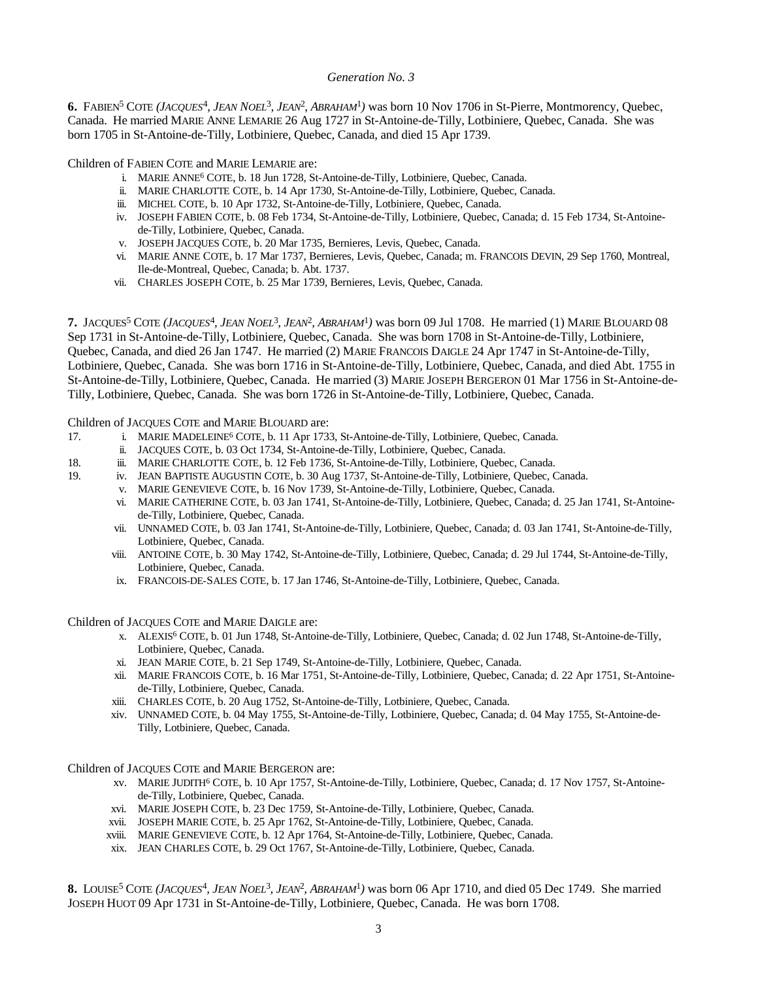## *Generation No. 3*

6. FABIEN<sup>5</sup> COTE (*JACQUES<sup>4</sup>*, *JEAN NOEL<sup>3</sup>*, *JEAN<sup>2</sup>*, *ABRAHAM<sup>1</sup>*) was born 10 Nov 1706 in St-Pierre, Montmorency, Quebec, Canada. He married MARIE ANNE LEMARIE 26 Aug 1727 in St-Antoine-de-Tilly, Lotbiniere, Quebec, Canada. She was born 1705 in St-Antoine-de-Tilly, Lotbiniere, Quebec, Canada, and died 15 Apr 1739.

Children of FABIEN COTE and MARIE LEMARIE are:

- i. MARIE ANNE<sup>6</sup> COTE, b. 18 Jun 1728, St-Antoine-de-Tilly, Lotbiniere, Quebec, Canada.
- ii. MARIE CHARLOTTE COTE, b. 14 Apr 1730, St-Antoine-de-Tilly, Lotbiniere, Quebec, Canada.
- iii. MICHEL COTE, b. 10 Apr 1732, St-Antoine-de-Tilly, Lotbiniere, Quebec, Canada.
- iv. JOSEPH FABIEN COTE, b. 08 Feb 1734, St-Antoine-de-Tilly, Lotbiniere, Quebec, Canada; d. 15 Feb 1734, St-Antoinede-Tilly, Lotbiniere, Quebec, Canada.
- v. JOSEPH JACQUES COTE, b. 20 Mar 1735, Bernieres, Levis, Quebec, Canada.
- vi. MARIE ANNE COTE, b. 17 Mar 1737, Bernieres, Levis, Quebec, Canada; m. FRANCOIS DEVIN, 29 Sep 1760, Montreal, Ile-de-Montreal, Quebec, Canada; b. Abt. 1737.
- vii. CHARLES JOSEPH COTE, b. 25 Mar 1739, Bernieres, Levis, Quebec, Canada.

7. JACQUES<sup>5</sup> COTE (*JACQUES<sup>4</sup>*, *JEAN NOEL<sup>3</sup>, JEAN<sup>2</sup>, ABRAHAM<sup>1</sup>*) was born 09 Jul 1708. He married (1) MARIE BLOUARD 08 Sep 1731 in St-Antoine-de-Tilly, Lotbiniere, Quebec, Canada. She was born 1708 in St-Antoine-de-Tilly, Lotbiniere, Quebec, Canada, and died 26 Jan 1747. He married (2) MARIE FRANCOIS DAIGLE 24 Apr 1747 in St-Antoine-de-Tilly, Lotbiniere, Quebec, Canada. She was born 1716 in St-Antoine-de-Tilly, Lotbiniere, Quebec, Canada, and died Abt. 1755 in St-Antoine-de-Tilly, Lotbiniere, Quebec, Canada. He married (3) MARIE JOSEPH BERGERON 01 Mar 1756 in St-Antoine-de-Tilly, Lotbiniere, Quebec, Canada. She was born 1726 in St-Antoine-de-Tilly, Lotbiniere, Quebec, Canada.

Children of JACQUES COTE and MARIE BLOUARD are:

- 17. i. MARIE MADELEINE<sup>6</sup> COTE, b. 11 Apr 1733, St-Antoine-de-Tilly, Lotbiniere, Quebec, Canada.
	- ii. JACQUES COTE, b. 03 Oct 1734, St-Antoine-de-Tilly, Lotbiniere, Quebec, Canada.
- 18. iii. MARIE CHARLOTTE COTE, b. 12 Feb 1736, St-Antoine-de-Tilly, Lotbiniere, Quebec, Canada.
- 19. iv. JEAN BAPTISTE AUGUSTIN COTE, b. 30 Aug 1737, St-Antoine-de-Tilly, Lotbiniere, Quebec, Canada.
	- v. MARIE GENEVIEVE COTE, b. 16 Nov 1739, St-Antoine-de-Tilly, Lotbiniere, Quebec, Canada.
	- vi. MARIE CATHERINE COTE, b. 03 Jan 1741, St-Antoine-de-Tilly, Lotbiniere, Quebec, Canada; d. 25 Jan 1741, St-Antoinede-Tilly, Lotbiniere, Quebec, Canada.
	- vii. UNNAMED COTE, b. 03 Jan 1741, St-Antoine-de-Tilly, Lotbiniere, Quebec, Canada; d. 03 Jan 1741, St-Antoine-de-Tilly, Lotbiniere, Quebec, Canada.
	- viii. ANTOINE COTE, b. 30 May 1742, St-Antoine-de-Tilly, Lotbiniere, Quebec, Canada; d. 29 Jul 1744, St-Antoine-de-Tilly, Lotbiniere, Quebec, Canada.
	- ix. FRANCOIS-DE-SALES COTE, b. 17 Jan 1746, St-Antoine-de-Tilly, Lotbiniere, Quebec, Canada.

#### Children of JACQUES COTE and MARIE DAIGLE are:

- x. ALEXIS<sup>6</sup> COTE, b. 01 Jun 1748, St-Antoine-de-Tilly, Lotbiniere, Quebec, Canada; d. 02 Jun 1748, St-Antoine-de-Tilly, Lotbiniere, Quebec, Canada.
- xi. JEAN MARIE COTE, b. 21 Sep 1749, St-Antoine-de-Tilly, Lotbiniere, Quebec, Canada.
- xii. MARIE FRANCOIS COTE, b. 16 Mar 1751, St-Antoine-de-Tilly, Lotbiniere, Quebec, Canada; d. 22 Apr 1751, St-Antoinede-Tilly, Lotbiniere, Quebec, Canada.
- xiii. CHARLES COTE, b. 20 Aug 1752, St-Antoine-de-Tilly, Lotbiniere, Quebec, Canada.
- xiv. UNNAMED COTE, b. 04 May 1755, St-Antoine-de-Tilly, Lotbiniere, Quebec, Canada; d. 04 May 1755, St-Antoine-de-Tilly, Lotbiniere, Quebec, Canada.

Children of JACQUES COTE and MARIE BERGERON are:

- xv. MARIE JUDITH<sup>6</sup> COTE, b. 10 Apr 1757, St-Antoine-de-Tilly, Lotbiniere, Quebec, Canada; d. 17 Nov 1757, St-Antoinede-Tilly, Lotbiniere, Quebec, Canada.
- xvi. MARIE JOSEPH COTE, b. 23 Dec 1759, St-Antoine-de-Tilly, Lotbiniere, Quebec, Canada.
- xvii. JOSEPH MARIE COTE, b. 25 Apr 1762, St-Antoine-de-Tilly, Lotbiniere, Quebec, Canada.
- xviii. MARIE GENEVIEVE COTE, b. 12 Apr 1764, St-Antoine-de-Tilly, Lotbiniere, Quebec, Canada.
- xix. JEAN CHARLES COTE, b. 29 Oct 1767, St-Antoine-de-Tilly, Lotbiniere, Quebec, Canada.

8. LOUISE<sup>5</sup> COTE (*JACQUES<sup>4</sup>*, *JEAN NOEL<sup>3</sup>, JEAN<sup>2</sup>, ABRAHAM<sup>1</sup>)* was born 06 Apr 1710, and died 05 Dec 1749. She married JOSEPH HUOT 09 Apr 1731 in St-Antoine-de-Tilly, Lotbiniere, Quebec, Canada. He was born 1708.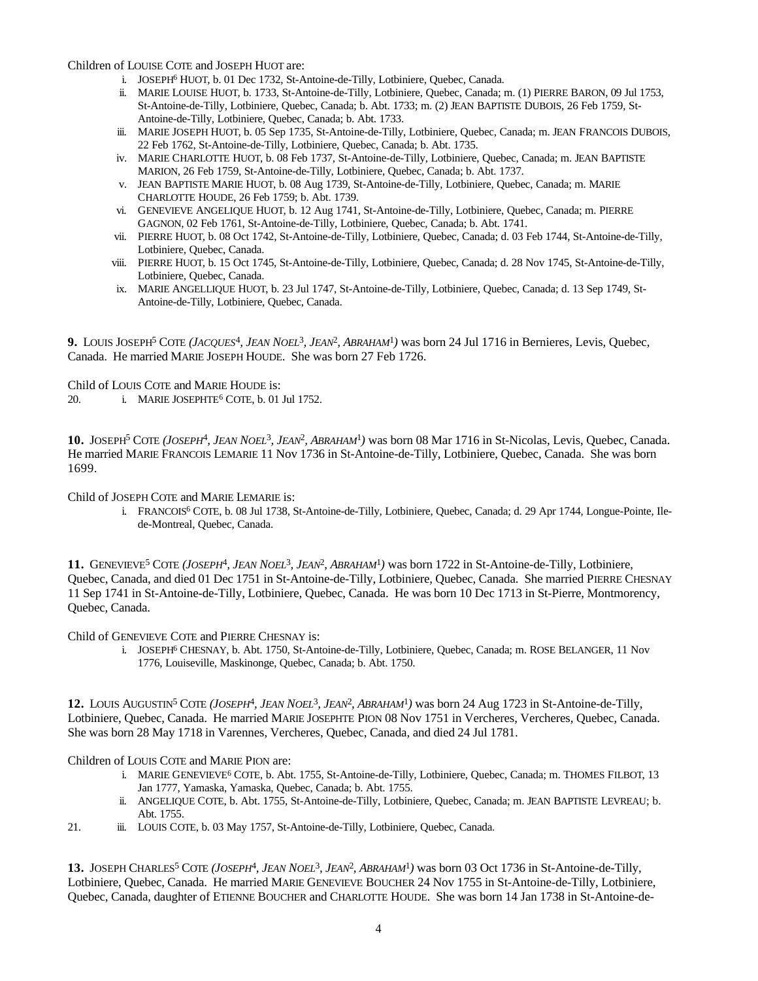Children of LOUISE COTE and JOSEPH HUOT are:

- i. JOSEPH<sup>6</sup> HUOT, b. 01 Dec 1732, St-Antoine-de-Tilly, Lotbiniere, Quebec, Canada.
- ii. MARIE LOUISE HUOT, b. 1733, St-Antoine-de-Tilly, Lotbiniere, Quebec, Canada; m. (1) PIERRE BARON, 09 Jul 1753, St-Antoine-de-Tilly, Lotbiniere, Quebec, Canada; b. Abt. 1733; m. (2) JEAN BAPTISTE DUBOIS, 26 Feb 1759, St-Antoine-de-Tilly, Lotbiniere, Quebec, Canada; b. Abt. 1733.
- iii. MARIE JOSEPH HUOT, b. 05 Sep 1735, St-Antoine-de-Tilly, Lotbiniere, Quebec, Canada; m. JEAN FRANCOIS DUBOIS, 22 Feb 1762, St-Antoine-de-Tilly, Lotbiniere, Quebec, Canada; b. Abt. 1735.
- iv. MARIE CHARLOTTE HUOT, b. 08 Feb 1737, St-Antoine-de-Tilly, Lotbiniere, Quebec, Canada; m. JEAN BAPTISTE MARION, 26 Feb 1759, St-Antoine-de-Tilly, Lotbiniere, Quebec, Canada; b. Abt. 1737.
- v. JEAN BAPTISTE MARIE HUOT, b. 08 Aug 1739, St-Antoine-de-Tilly, Lotbiniere, Quebec, Canada; m. MARIE CHARLOTTE HOUDE, 26 Feb 1759; b. Abt. 1739.
- vi. GENEVIEVE ANGELIQUE HUOT, b. 12 Aug 1741, St-Antoine-de-Tilly, Lotbiniere, Quebec, Canada; m. PIERRE GAGNON, 02 Feb 1761, St-Antoine-de-Tilly, Lotbiniere, Quebec, Canada; b. Abt. 1741.
- vii. PIERRE HUOT, b. 08 Oct 1742, St-Antoine-de-Tilly, Lotbiniere, Quebec, Canada; d. 03 Feb 1744, St-Antoine-de-Tilly, Lotbiniere, Quebec, Canada.
- viii. PIERRE HUOT, b. 15 Oct 1745, St-Antoine-de-Tilly, Lotbiniere, Quebec, Canada; d. 28 Nov 1745, St-Antoine-de-Tilly, Lotbiniere, Quebec, Canada.
- ix. MARIE ANGELLIQUE HUOT, b. 23 Jul 1747, St-Antoine-de-Tilly, Lotbiniere, Quebec, Canada; d. 13 Sep 1749, St-Antoine-de-Tilly, Lotbiniere, Quebec, Canada.

**9.** LOUIS JOSEPH<sup>5</sup> COTE *(JACQUES*<sup>4</sup> *, JEAN NOEL*<sup>3</sup> *, JEAN*<sup>2</sup> *, ABRAHAM*<sup>1</sup> *)* was born 24 Jul 1716 in Bernieres, Levis, Quebec, Canada. He married MARIE JOSEPH HOUDE. She was born 27 Feb 1726.

Child of LOUIS COTE and MARIE HOUDE is:

20. i. MARIE JOSEPHTE<sup>6</sup> COTE, b. 01 Jul 1752.

10. JOSEPH<sup>5</sup> COTE (*JOSEPH<sup>4</sup>*, *JEAN NOEL<sup>3</sup>*, *JEAN<sup>2</sup>*, *ABRAHAM<sup>1</sup>*) was born 08 Mar 1716 in St-Nicolas, Levis, Quebec, Canada. He married MARIE FRANCOIS LEMARIE 11 Nov 1736 in St-Antoine-de-Tilly, Lotbiniere, Quebec, Canada. She was born 1699.

Child of JOSEPH COTE and MARIE LEMARIE is:

i. FRANCOIS<sup>6</sup> COTE, b. 08 Jul 1738, St-Antoine-de-Tilly, Lotbiniere, Quebec, Canada; d. 29 Apr 1744, Longue-Pointe, Ilede-Montreal, Quebec, Canada.

11. GENEVIEVE<sup>5</sup> COTE (*JOSEPH<sup>4</sup>*, *JEAN NOEL<sup>3</sup>*, *JEAN<sup>2</sup>*, *ABRAHAM<sup>1</sup>*) was born 1722 in St-Antoine-de-Tilly, Lotbiniere, Quebec, Canada, and died 01 Dec 1751 in St-Antoine-de-Tilly, Lotbiniere, Quebec, Canada. She married PIERRE CHESNAY 11 Sep 1741 in St-Antoine-de-Tilly, Lotbiniere, Quebec, Canada. He was born 10 Dec 1713 in St-Pierre, Montmorency, Quebec, Canada.

Child of GENEVIEVE COTE and PIERRE CHESNAY is:

i. JOSEPH<sup>6</sup> CHESNAY, b. Abt. 1750, St-Antoine-de-Tilly, Lotbiniere, Quebec, Canada; m. ROSE BELANGER, 11 Nov 1776, Louiseville, Maskinonge, Quebec, Canada; b. Abt. 1750.

12. LOUIS AUGUSTIN<sup>5</sup> COTE (*JOSEPH<sup>4</sup>*, *JEAN NOEL<sup>3</sup>, JEAN<sup>2</sup>, ABRAHAM<sup>1</sup>) was born 24 Aug 1723 in St-Antoine-de-Tilly,* Lotbiniere, Quebec, Canada. He married MARIE JOSEPHTE PION 08 Nov 1751 in Vercheres, Vercheres, Quebec, Canada. She was born 28 May 1718 in Varennes, Vercheres, Quebec, Canada, and died 24 Jul 1781.

Children of LOUIS COTE and MARIE PION are:

- i. MARIE GENEVIEVE<sup>6</sup> COTE, b. Abt. 1755, St-Antoine-de-Tilly, Lotbiniere, Quebec, Canada; m. THOMES FILBOT, 13 Jan 1777, Yamaska, Yamaska, Quebec, Canada; b. Abt. 1755.
- ii. ANGELIQUE COTE, b. Abt. 1755, St-Antoine-de-Tilly, Lotbiniere, Quebec, Canada; m. JEAN BAPTISTE LEVREAU; b. Abt. 1755.
- 21. iii. LOUIS COTE, b. 03 May 1757, St-Antoine-de-Tilly, Lotbiniere, Quebec, Canada.

13. JOSEPH CHARLES<sup>5</sup> COTE (*JOSEPH<sup>4</sup>*, *JEAN* NOEL<sup>3</sup>, *JEAN<sup>2</sup>*, *ABRAHAM<sup>1</sup>*) was born 03 Oct 1736 in St-Antoine-de-Tilly, Lotbiniere, Quebec, Canada. He married MARIE GENEVIEVE BOUCHER 24 Nov 1755 in St-Antoine-de-Tilly, Lotbiniere, Quebec, Canada, daughter of ETIENNE BOUCHER and CHARLOTTE HOUDE. She was born 14 Jan 1738 in St-Antoine-de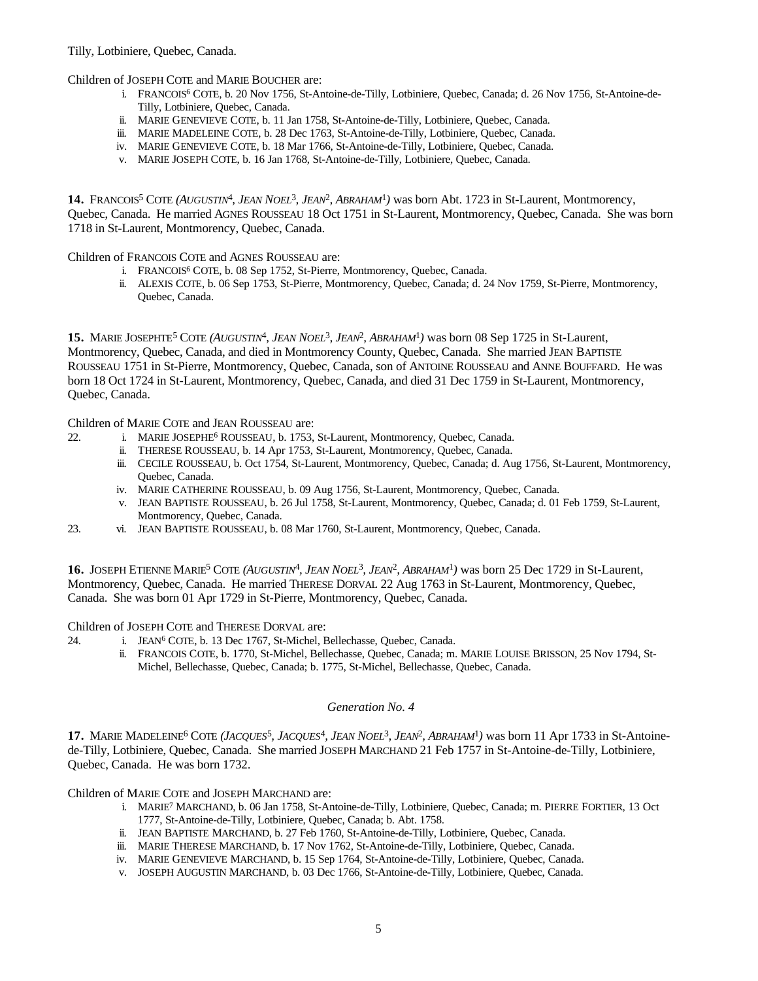Children of JOSEPH COTE and MARIE BOUCHER are:

- i. FRANCOIS<sup>6</sup> COTE, b. 20 Nov 1756, St-Antoine-de-Tilly, Lotbiniere, Quebec, Canada; d. 26 Nov 1756, St-Antoine-de-Tilly, Lotbiniere, Quebec, Canada.
- ii. MARIE GENEVIEVE COTE, b. 11 Jan 1758, St-Antoine-de-Tilly, Lotbiniere, Quebec, Canada.
- iii. MARIE MADELEINE COTE, b. 28 Dec 1763, St-Antoine-de-Tilly, Lotbiniere, Quebec, Canada.
- iv. MARIE GENEVIEVE COTE, b. 18 Mar 1766, St-Antoine-de-Tilly, Lotbiniere, Quebec, Canada.
- v. MARIE JOSEPH COTE, b. 16 Jan 1768, St-Antoine-de-Tilly, Lotbiniere, Quebec, Canada.

14. FRANCOIS<sup>5</sup> COTE (AUGUSTIN<sup>4</sup>, JEAN NOEL<sup>3</sup>, JEAN<sup>2</sup>, ABRAHAM<sup>1</sup>) was born Abt. 1723 in St-Laurent, Montmorency, Quebec, Canada. He married AGNES ROUSSEAU 18 Oct 1751 in St-Laurent, Montmorency, Quebec, Canada. She was born 1718 in St-Laurent, Montmorency, Quebec, Canada.

Children of FRANCOIS COTE and AGNES ROUSSEAU are:

- i. FRANCOIS<sup>6</sup> COTE, b. 08 Sep 1752, St-Pierre, Montmorency, Quebec, Canada.
- ii. ALEXIS COTE, b. 06 Sep 1753, St-Pierre, Montmorency, Quebec, Canada; d. 24 Nov 1759, St-Pierre, Montmorency, Quebec, Canada.

15. MARIE JOSEPHTE<sup>5</sup> COTE (A*UGUSTIN<sup>4</sup>*, JEAN NOEL<sup>3</sup>, JEAN<sup>2</sup>, ABRAHAM<sup>1</sup>) was born 08 Sep 1725 in St-Laurent, Montmorency, Quebec, Canada, and died in Montmorency County, Quebec, Canada. She married JEAN BAPTISTE ROUSSEAU 1751 in St-Pierre, Montmorency, Quebec, Canada, son of ANTOINE ROUSSEAU and ANNE BOUFFARD. He was born 18 Oct 1724 in St-Laurent, Montmorency, Quebec, Canada, and died 31 Dec 1759 in St-Laurent, Montmorency, Quebec, Canada.

Children of MARIE COTE and JEAN ROUSSEAU are:

- 22. i. MARIE JOSEPHE<sup>6</sup> ROUSSEAU, b. 1753, St-Laurent, Montmorency, Quebec, Canada.
	- ii. THERESE ROUSSEAU, b. 14 Apr 1753, St-Laurent, Montmorency, Quebec, Canada.
	- iii. CECILE ROUSSEAU, b. Oct 1754, St-Laurent, Montmorency, Quebec, Canada; d. Aug 1756, St-Laurent, Montmorency, Quebec, Canada.
	- iv. MARIE CATHERINE ROUSSEAU, b. 09 Aug 1756, St-Laurent, Montmorency, Quebec, Canada.
	- v. JEAN BAPTISTE ROUSSEAU, b. 26 Jul 1758, St-Laurent, Montmorency, Quebec, Canada; d. 01 Feb 1759, St-Laurent, Montmorency, Quebec, Canada.
- 23. vi. JEAN BAPTISTE ROUSSEAU, b. 08 Mar 1760, St-Laurent, Montmorency, Quebec, Canada.

16. JOSEPH ETIENNE MARIE<sup>5</sup> COTE (A*UGUSTIN<sup>4</sup>*, JEAN NOEL<sup>3</sup>, JEAN<sup>2</sup>, ABRAHAM<sup>1</sup>) was born 25 Dec 1729 in St-Laurent, Montmorency, Quebec, Canada. He married THERESE DORVAL 22 Aug 1763 in St-Laurent, Montmorency, Quebec, Canada. She was born 01 Apr 1729 in St-Pierre, Montmorency, Quebec, Canada.

Children of JOSEPH COTE and THERESE DORVAL are:

- 24. i. JEAN<sup>6</sup> COTE, b. 13 Dec 1767, St-Michel, Bellechasse, Quebec, Canada.
	- ii. FRANCOIS COTE, b. 1770, St-Michel, Bellechasse, Quebec, Canada; m. MARIE LOUISE BRISSON, 25 Nov 1794, St-Michel, Bellechasse, Quebec, Canada; b. 1775, St-Michel, Bellechasse, Quebec, Canada.

# *Generation No. 4*

17. MARIE MADELEINE<sup>6</sup> COTE (*JACQUES*<sup>5</sup>, *JACQUES*<sup>4</sup>, *JEAN NOEL*<sup>3</sup>, *JEAN*<sup>2</sup>, *ABRAHAM*<sup>1</sup>) was born 11 Apr 1733 in St-Antoinede-Tilly, Lotbiniere, Quebec, Canada. She married JOSEPH MARCHAND 21 Feb 1757 in St-Antoine-de-Tilly, Lotbiniere, Quebec, Canada. He was born 1732.

Children of MARIE COTE and JOSEPH MARCHAND are:

- i. MARIE<sup>7</sup> MARCHAND, b. 06 Jan 1758, St-Antoine-de-Tilly, Lotbiniere, Quebec, Canada; m. PIERRE FORTIER, 13 Oct 1777, St-Antoine-de-Tilly, Lotbiniere, Quebec, Canada; b. Abt. 1758.
- ii. JEAN BAPTISTE MARCHAND, b. 27 Feb 1760, St-Antoine-de-Tilly, Lotbiniere, Quebec, Canada.
- iii. MARIE THERESE MARCHAND, b. 17 Nov 1762, St-Antoine-de-Tilly, Lotbiniere, Quebec, Canada.
- iv. MARIE GENEVIEVE MARCHAND, b. 15 Sep 1764, St-Antoine-de-Tilly, Lotbiniere, Quebec, Canada.
- v. JOSEPH AUGUSTIN MARCHAND, b. 03 Dec 1766, St-Antoine-de-Tilly, Lotbiniere, Quebec, Canada.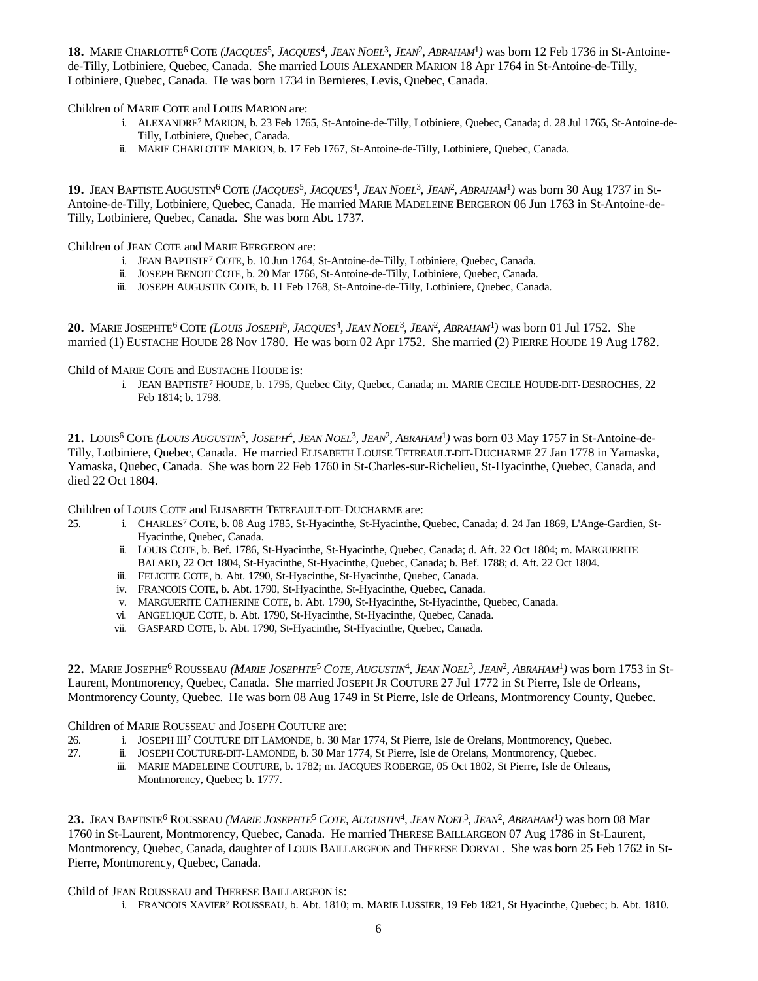18. MARIE CHARLOTTE<sup>6</sup> COTE (*JACQUES*<sup>5</sup>, *JACQUES*<sup>4</sup>, *JEAN NOEL*<sup>3</sup>, *JEAN*<sup>2</sup>, *ABRAHAM*<sup>1</sup>) was born 12 Feb 1736 in St-Antoinede-Tilly, Lotbiniere, Quebec, Canada. She married LOUIS ALEXANDER MARION 18 Apr 1764 in St-Antoine-de-Tilly, Lotbiniere, Quebec, Canada. He was born 1734 in Bernieres, Levis, Quebec, Canada.

Children of MARIE COTE and LOUIS MARION are:

- i. ALEXANDRE<sup>7</sup> MARION, b. 23 Feb 1765, St-Antoine-de-Tilly, Lotbiniere, Quebec, Canada; d. 28 Jul 1765, St-Antoine-de-Tilly, Lotbiniere, Quebec, Canada.
- ii. MARIE CHARLOTTE MARION, b. 17 Feb 1767, St-Antoine-de-Tilly, Lotbiniere, Quebec, Canada.

19. JEAN BAPTISTE AUGUSTIN<sup>6</sup> COTE (JACQUES<sup>5</sup>, JACQUES<sup>4</sup>, JEAN NOEL<sup>3</sup>, JEAN<sup>2</sup>, ABRAHAM<sup>1</sup>) was born 30 Aug 1737 in St-Antoine-de-Tilly, Lotbiniere, Quebec, Canada. He married MARIE MADELEINE BERGERON 06 Jun 1763 in St-Antoine-de-Tilly, Lotbiniere, Quebec, Canada. She was born Abt. 1737.

Children of JEAN COTE and MARIE BERGERON are:

- i. JEAN BAPTISTE<sup>7</sup> COTE, b. 10 Jun 1764, St-Antoine-de-Tilly, Lotbiniere, Quebec, Canada.
- ii. JOSEPH BENOIT COTE, b. 20 Mar 1766, St-Antoine-de-Tilly, Lotbiniere, Quebec, Canada.
- iii. JOSEPH AUGUSTIN COTE, b. 11 Feb 1768, St-Antoine-de-Tilly, Lotbiniere, Quebec, Canada.

**20.** MARIE JOSEPHTE<sup>6</sup> COTE *(LOUIS JOSEPH*<sup>5</sup> *, JACQUES*<sup>4</sup> *, JEAN NOEL*<sup>3</sup> *, JEAN*<sup>2</sup> *, ABRAHAM*<sup>1</sup> *)* was born 01 Jul 1752. She married (1) EUSTACHE HOUDE 28 Nov 1780. He was born 02 Apr 1752. She married (2) PIERRE HOUDE 19 Aug 1782.

## Child of MARIE COTE and EUSTACHE HOUDE is:

i. JEAN BAPTISTE<sup>7</sup> HOUDE, b. 1795, Quebec City, Quebec, Canada; m. MARIE CECILE HOUDE-DIT-DESROCHES, 22 Feb 1814; b. 1798.

21. LOUIS<sup>6</sup> COTE (LOUIS AUGUSTIN<sup>5</sup>, JOSEPH<sup>4</sup>, JEAN NOEL<sup>3</sup>, JEAN<sup>2</sup>, ABRAHAM<sup>1</sup>) was born 03 May 1757 in St-Antoine-de-Tilly, Lotbiniere, Quebec, Canada. He married ELISABETH LOUISE TETREAULT-DIT-DUCHARME 27 Jan 1778 in Yamaska, Yamaska, Quebec, Canada. She was born 22 Feb 1760 in St-Charles-sur-Richelieu, St-Hyacinthe, Quebec, Canada, and died 22 Oct 1804.

Children of LOUIS COTE and ELISABETH TETREAULT-DIT-DUCHARME are:

- 25. i. CHARLES<sup>7</sup> COTE, b. 08 Aug 1785, St-Hyacinthe, St-Hyacinthe, Quebec, Canada; d. 24 Jan 1869, L'Ange-Gardien, St-Hyacinthe, Quebec, Canada.
	- ii. LOUIS COTE, b. Bef. 1786, St-Hyacinthe, St-Hyacinthe, Quebec, Canada; d. Aft. 22 Oct 1804; m. MARGUERITE BALARD, 22 Oct 1804, St-Hyacinthe, St-Hyacinthe, Quebec, Canada; b. Bef. 1788; d. Aft. 22 Oct 1804.
	- iii. FELICITE COTE, b. Abt. 1790, St-Hyacinthe, St-Hyacinthe, Quebec, Canada.
	- iv. FRANCOIS COTE, b. Abt. 1790, St-Hyacinthe, St-Hyacinthe, Quebec, Canada.
	- v. MARGUERITE CATHERINE COTE, b. Abt. 1790, St-Hyacinthe, St-Hyacinthe, Quebec, Canada.
	- vi. ANGELIQUE COTE, b. Abt. 1790, St-Hyacinthe, St-Hyacinthe, Quebec, Canada.
	- vii. GASPARD COTE, b. Abt. 1790, St-Hyacinthe, St-Hyacinthe, Quebec, Canada.

22. MARIE JOSEPHE<sup>6</sup> ROUSSEAU (MARIE JOSEPHTE<sup>5</sup> COTE, AUGUSTIN<sup>4</sup>, JEAN NOEL<sup>3</sup>, JEAN<sup>2</sup>, ABRAHAM<sup>1</sup>) was born 1753 in St-Laurent, Montmorency, Quebec, Canada. She married JOSEPH JR COUTURE 27 Jul 1772 in St Pierre, Isle de Orleans, Montmorency County, Quebec. He was born 08 Aug 1749 in St Pierre, Isle de Orleans, Montmorency County, Quebec.

#### Children of MARIE ROUSSEAU and JOSEPH COUTURE are:

- 26. i. JOSEPH III<sup>7</sup> COUTURE DIT LAMONDE, b. 30 Mar 1774, St Pierre, Isle de Orelans, Montmorency, Quebec.
- 27. ii. JOSEPH COUTURE-DIT-LAMONDE, b. 30 Mar 1774, St Pierre, Isle de Orelans, Montmorency, Quebec.
	- iii. MARIE MADELEINE COUTURE, b. 1782; m. JACQUES ROBERGE, 05 Oct 1802, St Pierre, Isle de Orleans, Montmorency, Quebec; b. 1777.

23. JEAN BAPTISTE<sup>6</sup> ROUSSEAU *(MARIE JOSEPHTE<sup>5</sup> COTE, AUGUSTIN<sup>4</sup>, JEAN NOEL<sup>3</sup>, <i>JEAN<sup>2</sup>, ABRAHAM<sup>1</sup>)* was born 08 Mar 1760 in St-Laurent, Montmorency, Quebec, Canada. He married THERESE BAILLARGEON 07 Aug 1786 in St-Laurent, Montmorency, Quebec, Canada, daughter of LOUIS BAILLARGEON and THERESE DORVAL. She was born 25 Feb 1762 in St-Pierre, Montmorency, Quebec, Canada.

#### Child of JEAN ROUSSEAU and THERESE BAILLARGEON is:

i. FRANCOIS XAVIER<sup>7</sup> ROUSSEAU, b. Abt. 1810; m. MARIE LUSSIER, 19 Feb 1821, St Hyacinthe, Quebec; b. Abt. 1810.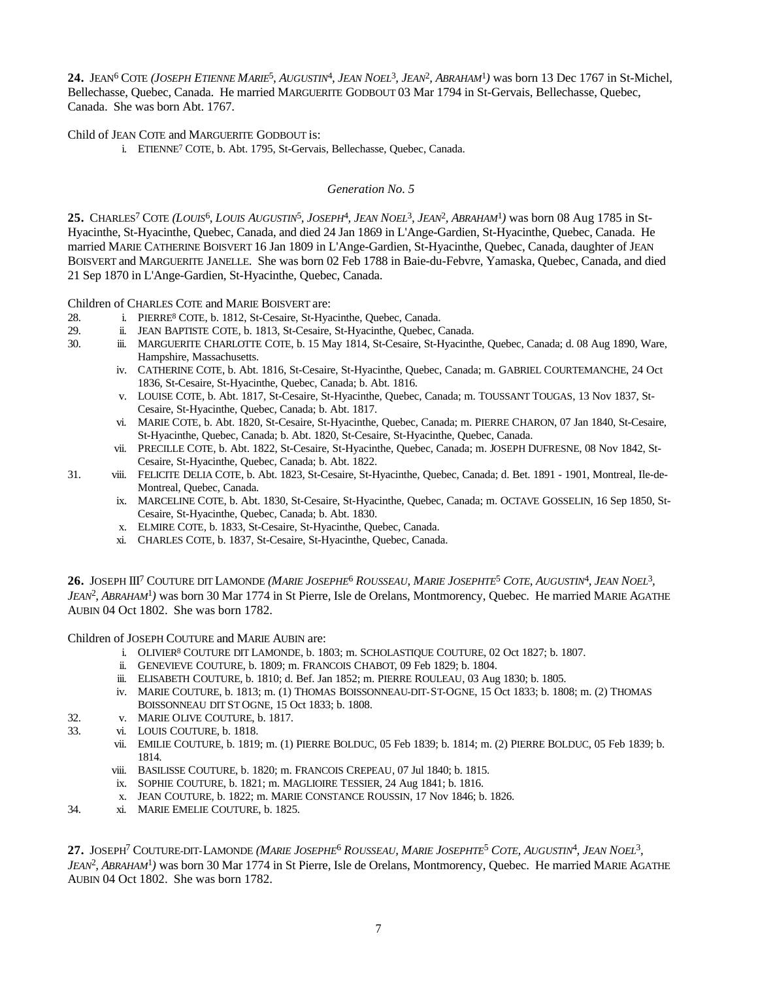24. JEAN<sup>6</sup> COTE (JOSEPH ETIENNE MARIE<sup>5</sup>, AUGUSTIN<sup>4</sup>, JEAN NOEL<sup>3</sup>, JEAN<sup>2</sup>, ABRAHAM<sup>1</sup>) was born 13 Dec 1767 in St-Michel, Bellechasse, Quebec, Canada. He married MARGUERITE GODBOUT 03 Mar 1794 in St-Gervais, Bellechasse, Quebec, Canada. She was born Abt. 1767.

Child of JEAN COTE and MARGUERITE GODBOUT is:

i. ETIENNE<sup>7</sup> COTE, b. Abt. 1795, St-Gervais, Bellechasse, Quebec, Canada.

## *Generation No. 5*

25. CHARLES<sup>7</sup> COTE (LOUIS<sup>6</sup>, LOUIS AUGUSTIN<sup>5</sup>, JOSEPH<sup>4</sup>, JEAN NOEL<sup>3</sup>, JEAN<sup>2</sup>, ABRAHAM<sup>1</sup>) was born 08 Aug 1785 in St-Hyacinthe, St-Hyacinthe, Quebec, Canada, and died 24 Jan 1869 in L'Ange-Gardien, St-Hyacinthe, Quebec, Canada. He married MARIE CATHERINE BOISVERT 16 Jan 1809 in L'Ange-Gardien, St-Hyacinthe, Quebec, Canada, daughter of JEAN BOISVERT and MARGUERITE JANELLE. She was born 02 Feb 1788 in Baie-du-Febvre, Yamaska, Quebec, Canada, and died 21 Sep 1870 in L'Ange-Gardien, St-Hyacinthe, Quebec, Canada.

Children of CHARLES COTE and MARIE BOISVERT are:

- 28. i. PIERRE<sup>8</sup> COTE, b. 1812, St-Cesaire, St-Hyacinthe, Quebec, Canada.
- 29. ii. JEAN BAPTISTE COTE, b. 1813, St-Cesaire, St-Hyacinthe, Quebec, Canada.
- 30. iii. MARGUERITE CHARLOTTE COTE, b. 15 May 1814, St-Cesaire, St-Hyacinthe, Quebec, Canada; d. 08 Aug 1890, Ware, Hampshire, Massachusetts.
	- iv. CATHERINE COTE, b. Abt. 1816, St-Cesaire, St-Hyacinthe, Quebec, Canada; m. GABRIEL COURTEMANCHE, 24 Oct 1836, St-Cesaire, St-Hyacinthe, Quebec, Canada; b. Abt. 1816.
	- v. LOUISE COTE, b. Abt. 1817, St-Cesaire, St-Hyacinthe, Quebec, Canada; m. TOUSSANT TOUGAS, 13 Nov 1837, St-Cesaire, St-Hyacinthe, Quebec, Canada; b. Abt. 1817.
	- vi. MARIE COTE, b. Abt. 1820, St-Cesaire, St-Hyacinthe, Quebec, Canada; m. PIERRE CHARON, 07 Jan 1840, St-Cesaire, St-Hyacinthe, Quebec, Canada; b. Abt. 1820, St-Cesaire, St-Hyacinthe, Quebec, Canada.
	- vii. PRECILLE COTE, b. Abt. 1822, St-Cesaire, St-Hyacinthe, Quebec, Canada; m. JOSEPH DUFRESNE, 08 Nov 1842, St-Cesaire, St-Hyacinthe, Quebec, Canada; b. Abt. 1822.
- 31. viii. FELICITE DELIA COTE, b. Abt. 1823, St-Cesaire, St-Hyacinthe, Quebec, Canada; d. Bet. 1891 1901, Montreal, Ile-de-Montreal, Quebec, Canada.
	- ix. MARCELINE COTE, b. Abt. 1830, St-Cesaire, St-Hyacinthe, Quebec, Canada; m. OCTAVE GOSSELIN, 16 Sep 1850, St-Cesaire, St-Hyacinthe, Quebec, Canada; b. Abt. 1830.
	- x. ELMIRE COTE, b. 1833, St-Cesaire, St-Hyacinthe, Quebec, Canada.
	- xi. CHARLES COTE, b. 1837, St-Cesaire, St-Hyacinthe, Quebec, Canada.

**26.** JOSEPH III<sup>7</sup> COUTURE DIT LAMONDE (MARIE JOSEPHE<sup>6</sup> ROUSSEAU, MARIE JOSEPHTE<sup>5</sup> COTE, AUGUSTIN<sup>4</sup>, JEAN NOEL<sup>3</sup>, *JEAN*<sup>2</sup> *, ABRAHAM*<sup>1</sup> *)* was born 30 Mar 1774 in St Pierre, Isle de Orelans, Montmorency, Quebec. He married MARIE AGATHE AUBIN 04 Oct 1802. She was born 1782.

Children of JOSEPH COUTURE and MARIE AUBIN are:

- i. OLIVIER<sup>8</sup> COUTURE DIT LAMONDE, b. 1803; m. SCHOLASTIQUE COUTURE, 02 Oct 1827; b. 1807.
- ii. GENEVIEVE COUTURE, b. 1809; m. FRANCOIS CHABOT, 09 Feb 1829; b. 1804.
- iii. ELISABETH COUTURE, b. 1810; d. Bef. Jan 1852; m. PIERRE ROULEAU, 03 Aug 1830; b. 1805.
- iv. MARIE COUTURE, b. 1813; m. (1) THOMAS BOISSONNEAU-DIT-ST-OGNE, 15 Oct 1833; b. 1808; m. (2) THOMAS BOISSONNEAU DIT ST OGNE, 15 Oct 1833; b. 1808.
- 32. v. MARIE OLIVE COUTURE, b. 1817.
- 33. vi. LOUIS COUTURE, b. 1818.
	- vii. EMILIE COUTURE, b. 1819; m. (1) PIERRE BOLDUC, 05 Feb 1839; b. 1814; m. (2) PIERRE BOLDUC, 05 Feb 1839; b. 1814.
	- viii. BASILISSE COUTURE, b. 1820; m. FRANCOIS CREPEAU, 07 Jul 1840; b. 1815.
	- ix. SOPHIE COUTURE, b. 1821; m. MAGLIOIRE TESSIER, 24 Aug 1841; b. 1816.
	- x. JEAN COUTURE, b. 1822; m. MARIE CONSTANCE ROUSSIN, 17 Nov 1846; b. 1826.
- 34. xi. MARIE EMELIE COUTURE, b. 1825.

# 27. JOSEPH<sup>7</sup> COUTURE-DIT-LAMONDE (MARIE JOSEPHE<sup>6</sup> ROUSSEAU, MARIE JOSEPHTE<sup>5</sup> COTE, AUGUSTIN<sup>4</sup>, JEAN NOEL<sup>3</sup>,

*JEAN*<sup>2</sup> *, ABRAHAM*<sup>1</sup> *)* was born 30 Mar 1774 in St Pierre, Isle de Orelans, Montmorency, Quebec. He married MARIE AGATHE AUBIN 04 Oct 1802. She was born 1782.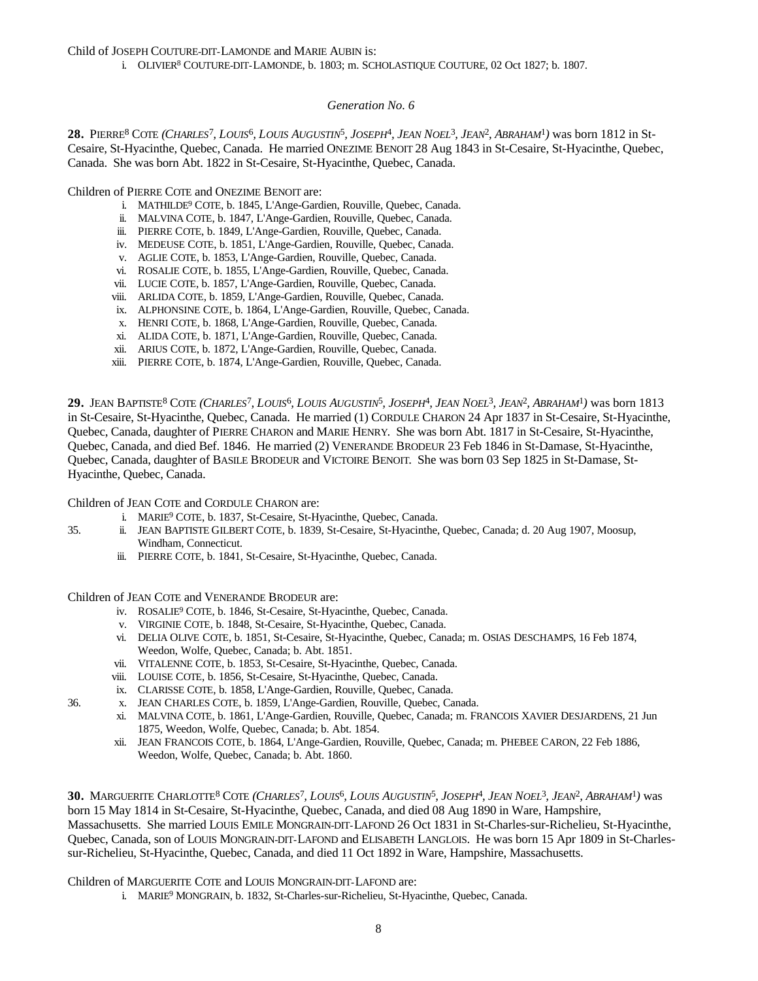Child of JOSEPH COUTURE-DIT-LAMONDE and MARIE AUBIN is:

i. OLIVIER<sup>8</sup> COUTURE-DIT-LAMONDE, b. 1803; m. SCHOLASTIQUE COUTURE, 02 Oct 1827; b. 1807.

#### *Generation No. 6*

28. PIERRE<sup>8</sup> COTE (CHARLES<sup>7</sup>, LOUIS<sup>6</sup>, LOUIS AUGUSTIN<sup>5</sup>, JOSEPH<sup>4</sup>, JEAN NOEL<sup>3</sup>, JEAN<sup>2</sup>, ABRAHAM<sup>1</sup>) was born 1812 in St-Cesaire, St-Hyacinthe, Quebec, Canada. He married ONEZIME BENOIT 28 Aug 1843 in St-Cesaire, St-Hyacinthe, Quebec, Canada. She was born Abt. 1822 in St-Cesaire, St-Hyacinthe, Quebec, Canada.

Children of PIERRE COTE and ONEZIME BENOIT are:

- i. MATHILDE<sup>9</sup> COTE, b. 1845, L'Ange-Gardien, Rouville, Quebec, Canada.
- ii. MALVINA COTE, b. 1847, L'Ange-Gardien, Rouville, Quebec, Canada.
- iii. PIERRE COTE, b. 1849, L'Ange-Gardien, Rouville, Quebec, Canada.
- iv. MEDEUSE COTE, b. 1851, L'Ange-Gardien, Rouville, Quebec, Canada.
- v. AGLIE COTE, b. 1853, L'Ange-Gardien, Rouville, Quebec, Canada.
- vi. ROSALIE COTE, b. 1855, L'Ange-Gardien, Rouville, Quebec, Canada.
- vii. LUCIE COTE, b. 1857, L'Ange-Gardien, Rouville, Quebec, Canada.
- viii. ARLIDA COTE, b. 1859, L'Ange-Gardien, Rouville, Quebec, Canada.
- ix. ALPHONSINE COTE, b. 1864, L'Ange-Gardien, Rouville, Quebec, Canada.
- x. HENRI COTE, b. 1868, L'Ange-Gardien, Rouville, Quebec, Canada.
- xi. ALIDA COTE, b. 1871, L'Ange-Gardien, Rouville, Quebec, Canada.
- xii. ARIUS COTE, b. 1872, L'Ange-Gardien, Rouville, Quebec, Canada.
- xiii. PIERRE COTE, b. 1874, L'Ange-Gardien, Rouville, Quebec, Canada.

29. JEAN BAPTISTE<sup>8</sup> COTE (*CHARLES<sup>7</sup>, LOUIS<sup>6</sup>, LOUIS AUGUSTIN<sup>5</sup>, JOSEPH<sup>4</sup>, JEAN NOEL<sup>3</sup>, JEAN<sup>2</sup>, ABRAHAM<sup>1</sup>) was born 1813* in St-Cesaire, St-Hyacinthe, Quebec, Canada. He married (1) CORDULE CHARON 24 Apr 1837 in St-Cesaire, St-Hyacinthe, Quebec, Canada, daughter of PIERRE CHARON and MARIE HENRY. She was born Abt. 1817 in St-Cesaire, St-Hyacinthe, Quebec, Canada, and died Bef. 1846. He married (2) VENERANDE BRODEUR 23 Feb 1846 in St-Damase, St-Hyacinthe, Quebec, Canada, daughter of BASILE BRODEUR and VICTOIRE BENOIT. She was born 03 Sep 1825 in St-Damase, St-Hyacinthe, Quebec, Canada.

Children of JEAN COTE and CORDULE CHARON are:

- i. MARIE<sup>9</sup> COTE, b. 1837, St-Cesaire, St-Hyacinthe, Quebec, Canada.
- 35. ii. JEAN BAPTISTE GILBERT COTE, b. 1839, St-Cesaire, St-Hyacinthe, Quebec, Canada; d. 20 Aug 1907, Moosup, Windham, Connecticut.
	- iii. PIERRE COTE, b. 1841, St-Cesaire, St-Hyacinthe, Quebec, Canada.

Children of JEAN COTE and VENERANDE BRODEUR are:

- iv. ROSALIE<sup>9</sup> COTE, b. 1846, St-Cesaire, St-Hyacinthe, Quebec, Canada.
- v. VIRGINIE COTE, b. 1848, St-Cesaire, St-Hyacinthe, Quebec, Canada.
- vi. DELIA OLIVE COTE, b. 1851, St-Cesaire, St-Hyacinthe, Quebec, Canada; m. OSIAS DESCHAMPS, 16 Feb 1874, Weedon, Wolfe, Quebec, Canada; b. Abt. 1851.
- vii. VITALENNE COTE, b. 1853, St-Cesaire, St-Hyacinthe, Quebec, Canada.
- viii. LOUISE COTE, b. 1856, St-Cesaire, St-Hyacinthe, Quebec, Canada.
- ix. CLARISSE COTE, b. 1858, L'Ange-Gardien, Rouville, Quebec, Canada.
- 36. x. JEAN CHARLES COTE, b. 1859, L'Ange-Gardien, Rouville, Quebec, Canada.
	- xi. MALVINA COTE, b. 1861, L'Ange-Gardien, Rouville, Quebec, Canada; m. FRANCOIS XAVIER DESJARDENS, 21 Jun 1875, Weedon, Wolfe, Quebec, Canada; b. Abt. 1854.
	- xii. JEAN FRANCOIS COTE, b. 1864, L'Ange-Gardien, Rouville, Quebec, Canada; m. PHEBEE CARON, 22 Feb 1886, Weedon, Wolfe, Quebec, Canada; b. Abt. 1860.

30. MARGUERITE CHARLOTTE<sup>8</sup> COTE (CHARLES<sup>7</sup>, LOUIS<sup>6</sup>, LOUIS AUGUSTIN<sup>5</sup>, JOSEPH<sup>4</sup>, JEAN NOEL<sup>3</sup>, JEAN<sup>2</sup>, ABRAHAM<sup>1</sup>) was born 15 May 1814 in St-Cesaire, St-Hyacinthe, Quebec, Canada, and died 08 Aug 1890 in Ware, Hampshire, Massachusetts. She married LOUIS EMILE MONGRAIN-DIT-LAFOND 26 Oct 1831 in St-Charles-sur-Richelieu, St-Hyacinthe, Quebec, Canada, son of LOUIS MONGRAIN-DIT-LAFOND and ELISABETH LANGLOIS. He was born 15 Apr 1809 in St-Charlessur-Richelieu, St-Hyacinthe, Quebec, Canada, and died 11 Oct 1892 in Ware, Hampshire, Massachusetts.

Children of MARGUERITE COTE and LOUIS MONGRAIN-DIT-LAFOND are:

i. MARIE<sup>9</sup> MONGRAIN, b. 1832, St-Charles-sur-Richelieu, St-Hyacinthe, Quebec, Canada.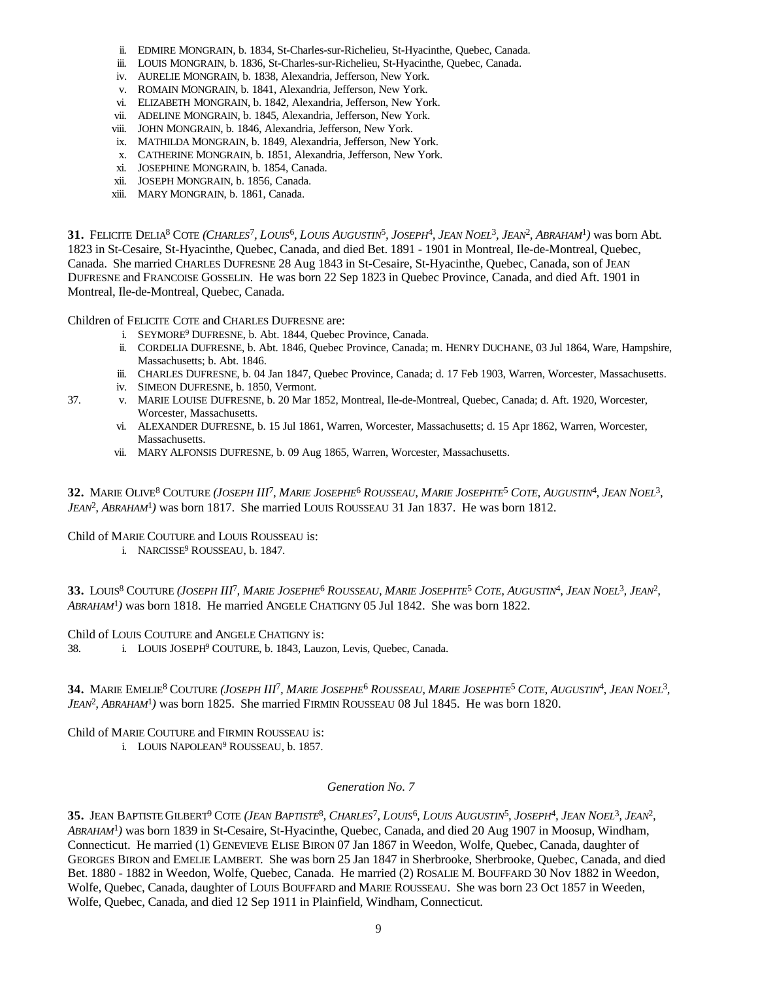- ii. EDMIRE MONGRAIN, b. 1834, St-Charles-sur-Richelieu, St-Hyacinthe, Quebec, Canada.
- iii. LOUIS MONGRAIN, b. 1836, St-Charles-sur-Richelieu, St-Hyacinthe, Quebec, Canada.
- iv. AURELIE MONGRAIN, b. 1838, Alexandria, Jefferson, New York.
- v. ROMAIN MONGRAIN, b. 1841, Alexandria, Jefferson, New York.
- vi. ELIZABETH MONGRAIN, b. 1842, Alexandria, Jefferson, New York.
- vii. ADELINE MONGRAIN, b. 1845, Alexandria, Jefferson, New York.
- viii. JOHN MONGRAIN, b. 1846, Alexandria, Jefferson, New York.
- ix. MATHILDA MONGRAIN, b. 1849, Alexandria, Jefferson, New York.
- x. CATHERINE MONGRAIN, b. 1851, Alexandria, Jefferson, New York.
- xi. JOSEPHINE MONGRAIN, b. 1854, Canada.
- xii. JOSEPH MONGRAIN, b. 1856, Canada.
- xiii. MARY MONGRAIN, b. 1861, Canada.

31. FELICITE DELIA<sup>8</sup> COTE (CHARLES<sup>7</sup>, LOUIS<sup>6</sup>, LOUIS AUGUSTIN<sup>5</sup>, JOSEPH<sup>4</sup>, JEAN NOEL<sup>3</sup>, JEAN<sup>2</sup>, ABRAHAM<sup>1</sup>) was born Abt. 1823 in St-Cesaire, St-Hyacinthe, Quebec, Canada, and died Bet. 1891 - 1901 in Montreal, Ile-de-Montreal, Quebec, Canada. She married CHARLES DUFRESNE 28 Aug 1843 in St-Cesaire, St-Hyacinthe, Quebec, Canada, son of JEAN DUFRESNE and FRANCOISE GOSSELIN. He was born 22 Sep 1823 in Quebec Province, Canada, and died Aft. 1901 in Montreal, Ile-de-Montreal, Quebec, Canada.

Children of FELICITE COTE and CHARLES DUFRESNE are:

- i. SEYMORE<sup>9</sup> DUFRESNE, b. Abt. 1844, Quebec Province, Canada.
- ii. CORDELIA DUFRESNE, b. Abt. 1846, Quebec Province, Canada; m. HENRY DUCHANE, 03 Jul 1864, Ware, Hampshire, Massachusetts; b. Abt. 1846.
- iii. CHARLES DUFRESNE, b. 04 Jan 1847, Quebec Province, Canada; d. 17 Feb 1903, Warren, Worcester, Massachusetts.
- iv. SIMEON DUFRESNE, b. 1850, Vermont.
- 37. v. MARIE LOUISE DUFRESNE, b. 20 Mar 1852, Montreal, Ile-de-Montreal, Quebec, Canada; d. Aft. 1920, Worcester, Worcester, Massachusetts.
	- vi. ALEXANDER DUFRESNE, b. 15 Jul 1861, Warren, Worcester, Massachusetts; d. 15 Apr 1862, Warren, Worcester, Massachusetts.
	- vii. MARY ALFONSIS DUFRESNE, b. 09 Aug 1865, Warren, Worcester, Massachusetts.

32. MARIE OLIVE<sup>8</sup> COUTURE (JOSEPH III<sup>7</sup>, MARIE JOSEPHE<sup>6</sup> ROUSSEAU, MARIE JOSEPHTE<sup>5</sup> COTE, AUGUSTIN<sup>4</sup>, JEAN NOEL<sup>3</sup>, *JEAN*<sup>2</sup> *, ABRAHAM*<sup>1</sup> *)* was born 1817. She married LOUIS ROUSSEAU 31 Jan 1837. He was born 1812.

Child of MARIE COUTURE and LOUIS ROUSSEAU is:

i. NARCISSE<sup>9</sup> ROUSSEAU, b. 1847.

33. LOUIS<sup>8</sup> COUTURE (JOSEPH III<sup>T</sup>, MARIE JOSEPHE<sup>6</sup> ROUSSEAU, MARIE JOSEPHTE<sup>5</sup> COTE, AUGUSTIN<sup>4</sup>, JEAN NOEL<sup>3</sup>, JEAN<sup>2</sup>, *ABRAHAM*<sup>1</sup> *)* was born 1818. He married ANGELE CHATIGNY 05 Jul 1842. She was born 1822.

# Child of LOUIS COUTURE and ANGELE CHATIGNY is:

38. i. LOUIS JOSEPH<sup>9</sup> COUTURE, b. 1843, Lauzon, Levis, Quebec, Canada.

34. MARIE EMELIE<sup>8</sup> COUTURE (JOSEPH III<sup>7</sup>, MARIE JOSEPHE<sup>6</sup> ROUSSEAU, MARIE JOSEPHTE<sup>5</sup> COTE, AUGUSTIN<sup>4</sup>, JEAN NOEL<sup>3</sup>, *JEAN*<sup>2</sup> *, ABRAHAM*<sup>1</sup> *)* was born 1825. She married FIRMIN ROUSSEAU 08 Jul 1845. He was born 1820.

# Child of MARIE COUTURE and FIRMIN ROUSSEAU is:

i. LOUIS NAPOLEAN<sup>9</sup> ROUSSEAU, b. 1857.

# *Generation No. 7*

35. JEAN BAPTISTE GILBERT<sup>9</sup> COTE (*JEAN BAPTISTE<sup>8</sup>, CHARLES<sup>7</sup>, LOUIS<sup>6</sup>, LOUIS AUGUSTIN<sup>5</sup>, JOSEPH<sup>4</sup>, JEAN NOEL<sup>3</sup>, JEAN<sup>2</sup>, ABRAHAM*<sup>1</sup> *)* was born 1839 in St-Cesaire, St-Hyacinthe, Quebec, Canada, and died 20 Aug 1907 in Moosup, Windham, Connecticut. He married (1) GENEVIEVE ELISE BIRON 07 Jan 1867 in Weedon, Wolfe, Quebec, Canada, daughter of GEORGES BIRON and EMELIE LAMBERT. She was born 25 Jan 1847 in Sherbrooke, Sherbrooke, Quebec, Canada, and died Bet. 1880 - 1882 in Weedon, Wolfe, Quebec, Canada. He married (2) ROSALIE M. BOUFFARD 30 Nov 1882 in Weedon, Wolfe, Quebec, Canada, daughter of LOUIS BOUFFARD and MARIE ROUSSEAU. She was born 23 Oct 1857 in Weeden, Wolfe, Quebec, Canada, and died 12 Sep 1911 in Plainfield, Windham, Connecticut.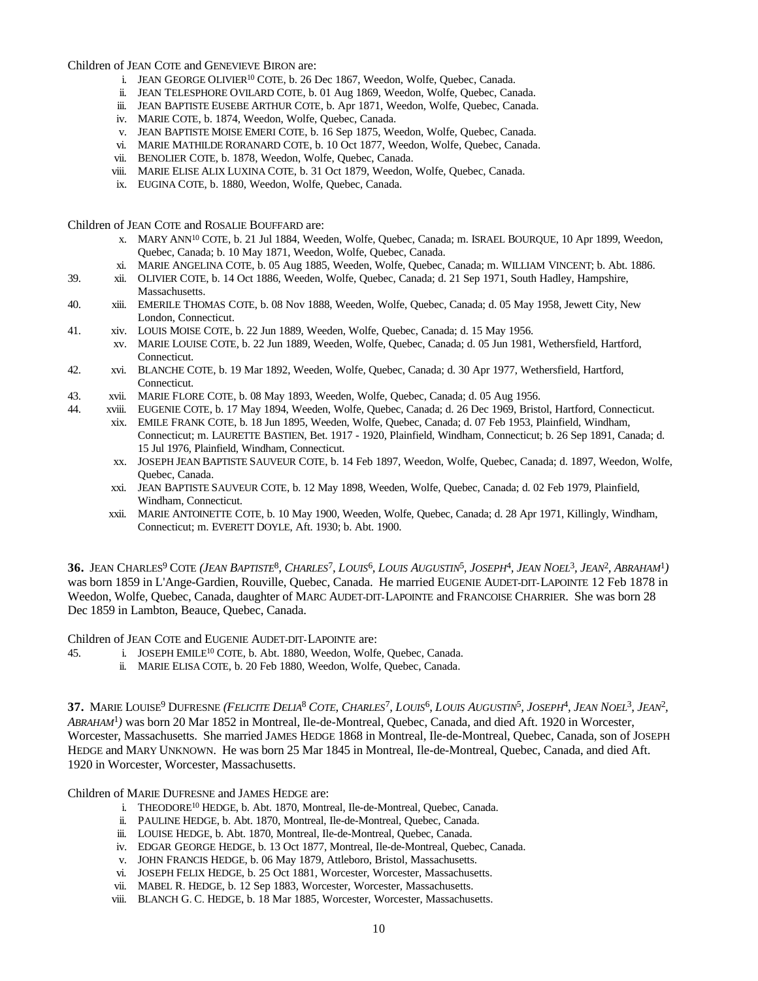Children of JEAN COTE and GENEVIEVE BIRON are:

- i. JEAN GEORGE OLIVIER<sup>10</sup> COTE, b. 26 Dec 1867, Weedon, Wolfe, Quebec, Canada.
- ii. JEAN TELESPHORE OVILARD COTE, b. 01 Aug 1869, Weedon, Wolfe, Quebec, Canada.
- iii. JEAN BAPTISTE EUSEBE ARTHUR COTE, b. Apr 1871, Weedon, Wolfe, Quebec, Canada.
- iv. MARIE COTE, b. 1874, Weedon, Wolfe, Quebec, Canada.
- v. JEAN BAPTISTE MOISE EMERI COTE, b. 16 Sep 1875, Weedon, Wolfe, Quebec, Canada.
- vi. MARIE MATHILDE RORANARD COTE, b. 10 Oct 1877, Weedon, Wolfe, Quebec, Canada.
- vii. BENOLIER COTE, b. 1878, Weedon, Wolfe, Quebec, Canada.
- viii. MARIE ELISE ALIX LUXINA COTE, b. 31 Oct 1879, Weedon, Wolfe, Quebec, Canada.
- ix. EUGINA COTE, b. 1880, Weedon, Wolfe, Quebec, Canada.

Children of JEAN COTE and ROSALIE BOUFFARD are:

- x. MARY ANN<sup>10</sup> COTE, b. 21 Jul 1884, Weeden, Wolfe, Quebec, Canada; m. ISRAEL BOURQUE, 10 Apr 1899, Weedon, Quebec, Canada; b. 10 May 1871, Weedon, Wolfe, Quebec, Canada.
- xi. MARIE ANGELINA COTE, b. 05 Aug 1885, Weeden, Wolfe, Quebec, Canada; m. WILLIAM VINCENT; b. Abt. 1886.
- 39. xii. OLIVIER COTE, b. 14 Oct 1886, Weeden, Wolfe, Quebec, Canada; d. 21 Sep 1971, South Hadley, Hampshire, Massachusetts.
- 40. xiii. EMERILE THOMAS COTE, b. 08 Nov 1888, Weeden, Wolfe, Quebec, Canada; d. 05 May 1958, Jewett City, New London, Connecticut.
- 41. xiv. LOUIS MOISE COTE, b. 22 Jun 1889, Weeden, Wolfe, Quebec, Canada; d. 15 May 1956.
- xv. MARIE LOUISE COTE, b. 22 Jun 1889, Weeden, Wolfe, Quebec, Canada; d. 05 Jun 1981, Wethersfield, Hartford, Connecticut.
- 42. xvi. BLANCHE COTE, b. 19 Mar 1892, Weeden, Wolfe, Quebec, Canada; d. 30 Apr 1977, Wethersfield, Hartford, Connecticut.
- 43. xvii. MARIE FLORE COTE, b. 08 May 1893, Weeden, Wolfe, Quebec, Canada; d. 05 Aug 1956.
- 44. xviii. EUGENIE COTE, b. 17 May 1894, Weeden, Wolfe, Quebec, Canada; d. 26 Dec 1969, Bristol, Hartford, Connecticut.
	- xix. EMILE FRANK COTE, b. 18 Jun 1895, Weeden, Wolfe, Quebec, Canada; d. 07 Feb 1953, Plainfield, Windham, Connecticut; m. LAURETTE BASTIEN, Bet. 1917 - 1920, Plainfield, Windham, Connecticut; b. 26 Sep 1891, Canada; d. 15 Jul 1976, Plainfield, Windham, Connecticut.
	- xx. JOSEPH JEAN BAPTISTE SAUVEUR COTE, b. 14 Feb 1897, Weedon, Wolfe, Quebec, Canada; d. 1897, Weedon, Wolfe, Quebec, Canada.
	- xxi. JEAN BAPTISTE SAUVEUR COTE, b. 12 May 1898, Weeden, Wolfe, Quebec, Canada; d. 02 Feb 1979, Plainfield, Windham, Connecticut.
	- xxii. MARIE ANTOINETTE COTE, b. 10 May 1900, Weeden, Wolfe, Quebec, Canada; d. 28 Apr 1971, Killingly, Windham, Connecticut; m. EVERETT DOYLE, Aft. 1930; b. Abt. 1900.

36. JEAN CHARLES<sup>9</sup> COTE (*JEAN BAPTISTE<sup>8</sup>, CHARLES<sup>7</sup>, LOUIS<sup>6</sup>, LOUIS AUGUSTIN<sup>5</sup>, JOSEPH<sup>4</sup>, JEAN NOEL<sup>3</sup>, JEAN<sup>2</sup>, ABRAHAM<sup>1</sup>)* was born 1859 in L'Ange-Gardien, Rouville, Quebec, Canada. He married EUGENIE AUDET-DIT-LAPOINTE 12 Feb 1878 in Weedon, Wolfe, Quebec, Canada, daughter of MARC AUDET-DIT-LAPOINTE and FRANCOISE CHARRIER. She was born 28 Dec 1859 in Lambton, Beauce, Quebec, Canada.

Children of JEAN COTE and EUGENIE AUDET-DIT-LAPOINTE are:

- 45. i. JOSEPH EMILE<sup>10</sup> COTE, b. Abt. 1880, Weedon, Wolfe, Quebec, Canada.
	- ii. MARIE ELISA COTE, b. 20 Feb 1880, Weedon, Wolfe, Quebec, Canada.

37. MARIE LOUISE<sup>9</sup> DUFRESNE (FELICITE DELIA<sup>8</sup> COTE, CHARLES<sup>7</sup>, LOUIS<sup>6</sup>, LOUIS AUGUSTIN<sup>5</sup>, JOSEPH<sup>4</sup>, JEAN NOEL<sup>3</sup>, JEAN<sup>2</sup>, *ABRAHAM*<sup>1</sup> *)* was born 20 Mar 1852 in Montreal, Ile-de-Montreal, Quebec, Canada, and died Aft. 1920 in Worcester, Worcester, Massachusetts. She married JAMES HEDGE 1868 in Montreal, Ile-de-Montreal, Quebec, Canada, son of JOSEPH HEDGE and MARY UNKNOWN. He was born 25 Mar 1845 in Montreal, Ile-de-Montreal, Quebec, Canada, and died Aft. 1920 in Worcester, Worcester, Massachusetts.

Children of MARIE DUFRESNE and JAMES HEDGE are:

- i. THEODORE<sup>10</sup> HEDGE, b. Abt. 1870, Montreal, Ile-de-Montreal, Quebec, Canada.
- ii. PAULINE HEDGE, b. Abt. 1870, Montreal, Ile-de-Montreal, Quebec, Canada.
- iii. LOUISE HEDGE, b. Abt. 1870, Montreal, Ile-de-Montreal, Quebec, Canada.
- iv. EDGAR GEORGE HEDGE, b. 13 Oct 1877, Montreal, Ile-de-Montreal, Quebec, Canada.
- v. JOHN FRANCIS HEDGE, b. 06 May 1879, Attleboro, Bristol, Massachusetts.
- vi. JOSEPH FELIX HEDGE, b. 25 Oct 1881, Worcester, Worcester, Massachusetts.
- vii. MABEL R. HEDGE, b. 12 Sep 1883, Worcester, Worcester, Massachusetts.
- viii. BLANCH G. C. HEDGE, b. 18 Mar 1885, Worcester, Worcester, Massachusetts.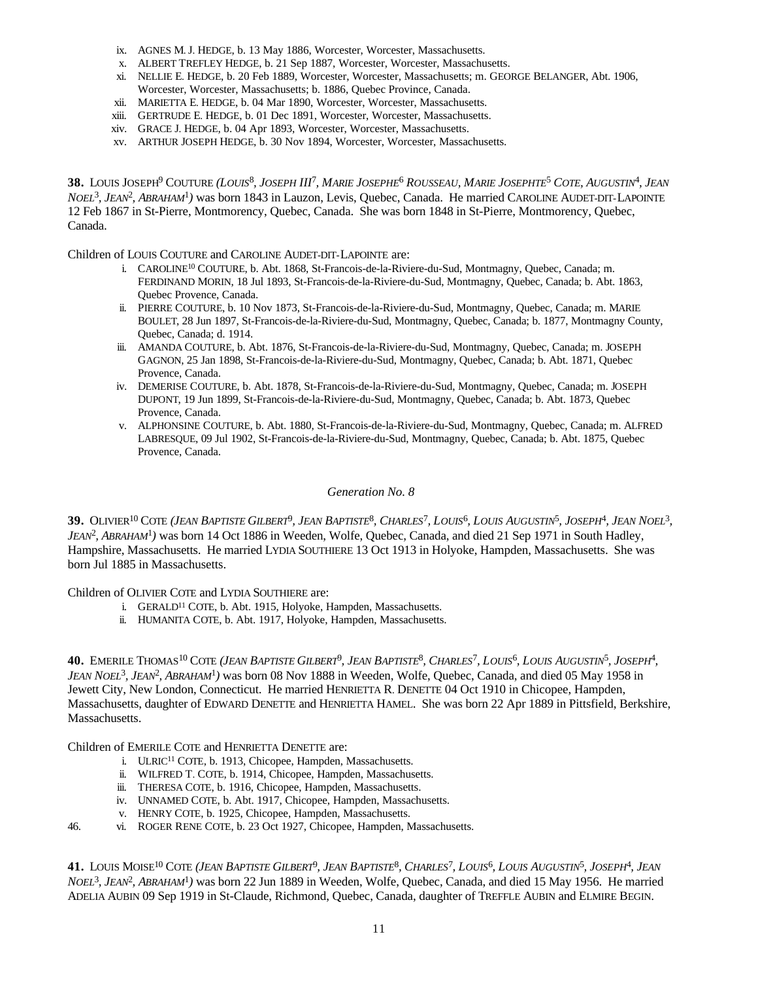- ix. AGNES M. J. HEDGE, b. 13 May 1886, Worcester, Worcester, Massachusetts.
- x. ALBERT TREFLEY HEDGE, b. 21 Sep 1887, Worcester, Worcester, Massachusetts.
- xi. NELLIE E. HEDGE, b. 20 Feb 1889, Worcester, Worcester, Massachusetts; m. GEORGE BELANGER, Abt. 1906, Worcester, Worcester, Massachusetts; b. 1886, Quebec Province, Canada.
- xii. MARIETTA E. HEDGE, b. 04 Mar 1890, Worcester, Worcester, Massachusetts.
- xiii. GERTRUDE E. HEDGE, b. 01 Dec 1891, Worcester, Worcester, Massachusetts.
- xiv. GRACE J. HEDGE, b. 04 Apr 1893, Worcester, Worcester, Massachusetts.
- xv. ARTHUR JOSEPH HEDGE, b. 30 Nov 1894, Worcester, Worcester, Massachusetts.

38. LOUIS JOSEPH<sup>9</sup> COUTURE (LOUIS<sup>8</sup>, JOSEPH III<sup>7</sup>, MARIE JOSEPHE<sup>6</sup> ROUSSEAU, MARIE JOSEPHTE<sup>5</sup> COTE, AUGUSTIN<sup>4</sup>, JEAN *NOEL*<sup>3</sup> *, JEAN*<sup>2</sup> *, ABRAHAM*<sup>1</sup> *)* was born 1843 in Lauzon, Levis, Quebec, Canada. He married CAROLINE AUDET-DIT-LAPOINTE 12 Feb 1867 in St-Pierre, Montmorency, Quebec, Canada. She was born 1848 in St-Pierre, Montmorency, Quebec, Canada.

Children of LOUIS COUTURE and CAROLINE AUDET-DIT-LAPOINTE are:

- i. CAROLINE<sup>10</sup> COUTURE, b. Abt. 1868, St-Francois-de-la-Riviere-du-Sud, Montmagny, Quebec, Canada; m. FERDINAND MORIN, 18 Jul 1893, St-Francois-de-la-Riviere-du-Sud, Montmagny, Quebec, Canada; b. Abt. 1863, Quebec Provence, Canada.
- ii. PIERRE COUTURE, b. 10 Nov 1873, St-Francois-de-la-Riviere-du-Sud, Montmagny, Quebec, Canada; m. MARIE BOULET, 28 Jun 1897, St-Francois-de-la-Riviere-du-Sud, Montmagny, Quebec, Canada; b. 1877, Montmagny County, Quebec, Canada; d. 1914.
- iii. AMANDA COUTURE, b. Abt. 1876, St-Francois-de-la-Riviere-du-Sud, Montmagny, Quebec, Canada; m. JOSEPH GAGNON, 25 Jan 1898, St-Francois-de-la-Riviere-du-Sud, Montmagny, Quebec, Canada; b. Abt. 1871, Quebec Provence, Canada.
- iv. DEMERISE COUTURE, b. Abt. 1878, St-Francois-de-la-Riviere-du-Sud, Montmagny, Quebec, Canada; m. JOSEPH DUPONT, 19 Jun 1899, St-Francois-de-la-Riviere-du-Sud, Montmagny, Quebec, Canada; b. Abt. 1873, Quebec Provence, Canada.
- v. ALPHONSINE COUTURE, b. Abt. 1880, St-Francois-de-la-Riviere-du-Sud, Montmagny, Quebec, Canada; m. ALFRED LABRESQUE, 09 Jul 1902, St-Francois-de-la-Riviere-du-Sud, Montmagny, Quebec, Canada; b. Abt. 1875, Quebec Provence, Canada.

#### *Generation No. 8*

39. Olivier<sup>10</sup> Cote (Jean Baptiste Gilbert<sup>9</sup>, Jean Baptiste<sup>8</sup>, Charles<sup>7</sup>, Louis<sup>6</sup>, Louis Augustin<sup>5</sup>, Joseph<sup>4</sup>, Jean Noel<sup>3</sup>, *JEAN*<sup>2</sup> *, ABRAHAM*<sup>1</sup> *)* was born 14 Oct 1886 in Weeden, Wolfe, Quebec, Canada, and died 21 Sep 1971 in South Hadley, Hampshire, Massachusetts. He married LYDIA SOUTHIERE 13 Oct 1913 in Holyoke, Hampden, Massachusetts. She was born Jul 1885 in Massachusetts.

Children of OLIVIER COTE and LYDIA SOUTHIERE are:

- i. GERALD<sup>11</sup> COTE, b. Abt. 1915, Holyoke, Hampden, Massachusetts.
- ii. HUMANITA COTE, b. Abt. 1917, Holyoke, Hampden, Massachusetts.

**40.** EMERILE THOMAS <sup>10</sup> COTE (JEAN BAPTISTE GILBERT<sup>9</sup>, JEAN BAPTISTE<sup>8</sup>, CHARLES<sup>7</sup>, LOUIS<sup>6</sup>, LOUIS AUGUSTIN<sup>5</sup>, JOSEPH<sup>4</sup>, *JEAN NOEL*<sup>3</sup> *, JEAN*<sup>2</sup> *, ABRAHAM*<sup>1</sup> *)* was born 08 Nov 1888 in Weeden, Wolfe, Quebec, Canada, and died 05 May 1958 in Jewett City, New London, Connecticut. He married HENRIETTA R. DENETTE 04 Oct 1910 in Chicopee, Hampden, Massachusetts, daughter of EDWARD DENETTE and HENRIETTA HAMEL. She was born 22 Apr 1889 in Pittsfield, Berkshire, Massachusetts.

Children of EMERILE COTE and HENRIETTA DENETTE are:

- i. ULRIC<sup>11</sup> COTE, b. 1913, Chicopee, Hampden, Massachusetts.
- ii. WILFRED T. COTE, b. 1914, Chicopee, Hampden, Massachusetts.
- iii. THERESA COTE, b. 1916, Chicopee, Hampden, Massachusetts.
- iv. UNNAMED COTE, b. Abt. 1917, Chicopee, Hampden, Massachusetts.
- v. HENRY COTE, b. 1925, Chicopee, Hampden, Massachusetts.
- 46. vi. ROGER RENE COTE, b. 23 Oct 1927, Chicopee, Hampden, Massachusetts.

41. LOUIS MOISE<sup>10</sup> COTE (JEAN BAPTISTE GILBERT<sup>9</sup>, JEAN BAPTISTE<sup>8</sup>, CHARLES<sup>7</sup>, LOUIS<sup>6</sup>, LOUIS AUGUSTIN<sup>5</sup>, JOSEPH<sup>4</sup>, JEAN *NOEL*<sup>3</sup> *, JEAN*<sup>2</sup> *, ABRAHAM*<sup>1</sup> *)* was born 22 Jun 1889 in Weeden, Wolfe, Quebec, Canada, and died 15 May 1956. He married ADELIA AUBIN 09 Sep 1919 in St-Claude, Richmond, Quebec, Canada, daughter of TREFFLE AUBIN and ELMIRE BEGIN.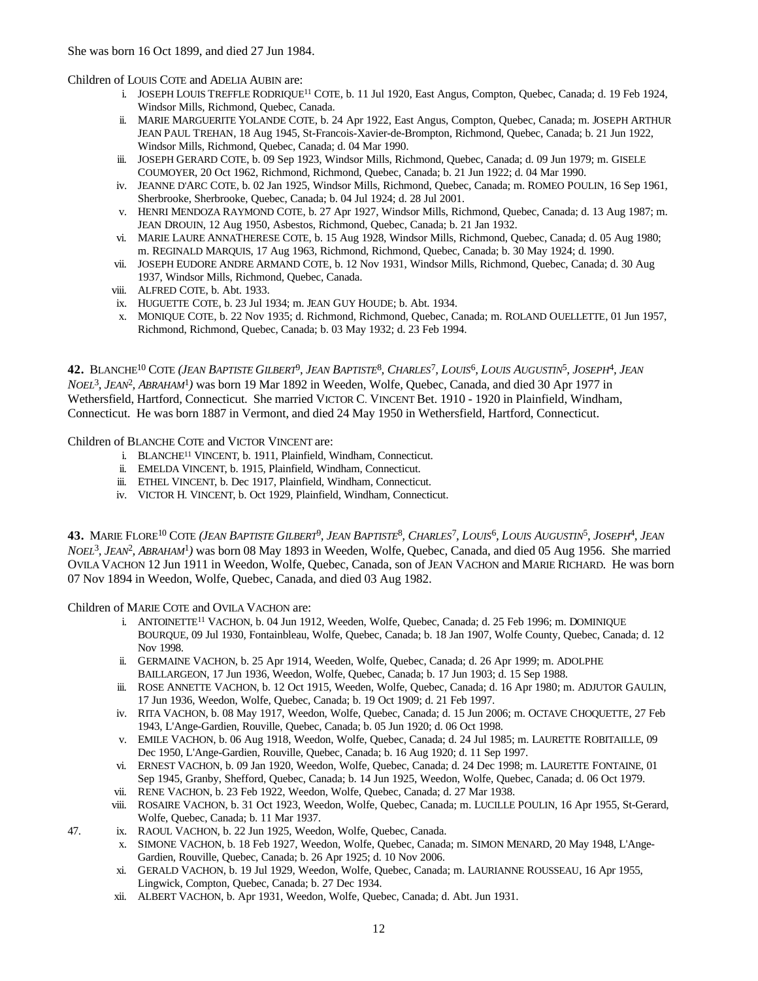Children of LOUIS COTE and ADELIA AUBIN are:

- i. JOSEPH LOUIS TREFFLE RODRIQUE<sup>11</sup> COTE, b. 11 Jul 1920, East Angus, Compton, Quebec, Canada; d. 19 Feb 1924, Windsor Mills, Richmond, Quebec, Canada.
- ii. MARIE MARGUERITE YOLANDE COTE, b. 24 Apr 1922, East Angus, Compton, Quebec, Canada; m. JOSEPH ARTHUR JEAN PAUL TREHAN, 18 Aug 1945, St-Francois-Xavier-de-Brompton, Richmond, Quebec, Canada; b. 21 Jun 1922, Windsor Mills, Richmond, Quebec, Canada; d. 04 Mar 1990.
- iii. JOSEPH GERARD COTE, b. 09 Sep 1923, Windsor Mills, Richmond, Quebec, Canada; d. 09 Jun 1979; m. GISELE COUMOYER, 20 Oct 1962, Richmond, Richmond, Quebec, Canada; b. 21 Jun 1922; d. 04 Mar 1990.
- iv. JEANNE D'ARC COTE, b. 02 Jan 1925, Windsor Mills, Richmond, Quebec, Canada; m. ROMEO POULIN, 16 Sep 1961, Sherbrooke, Sherbrooke, Quebec, Canada; b. 04 Jul 1924; d. 28 Jul 2001.
- v. HENRI MENDOZA RAYMOND COTE, b. 27 Apr 1927, Windsor Mills, Richmond, Quebec, Canada; d. 13 Aug 1987; m. JEAN DROUIN, 12 Aug 1950, Asbestos, Richmond, Quebec, Canada; b. 21 Jan 1932.
- vi. MARIE LAURE ANNATHERESE COTE, b. 15 Aug 1928, Windsor Mills, Richmond, Quebec, Canada; d. 05 Aug 1980; m. REGINALD MARQUIS, 17 Aug 1963, Richmond, Richmond, Quebec, Canada; b. 30 May 1924; d. 1990.
- vii. JOSEPH EUDORE ANDRE ARMAND COTE, b. 12 Nov 1931, Windsor Mills, Richmond, Quebec, Canada; d. 30 Aug 1937, Windsor Mills, Richmond, Quebec, Canada.
- viii. ALFRED COTE, b. Abt. 1933.
- ix. HUGUETTE COTE, b. 23 Jul 1934; m. JEAN GUY HOUDE; b. Abt. 1934.
- x. MONIQUE COTE, b. 22 Nov 1935; d. Richmond, Richmond, Quebec, Canada; m. ROLAND OUELLETTE, 01 Jun 1957, Richmond, Richmond, Quebec, Canada; b. 03 May 1932; d. 23 Feb 1994.

42. BLANCHE<sup>10</sup> COTE (JEAN BAPTISTE GILBERT<sup>9</sup>, JEAN BAPTISTE<sup>8</sup>, CHARLES<sup>7</sup>, LOUIS<sup>6</sup>, LOUIS AUGUSTIN<sup>5</sup>, JOSEPH<sup>4</sup>, JEAN *NOEL*<sup>3</sup> *, JEAN*<sup>2</sup> *, ABRAHAM*<sup>1</sup> *)* was born 19 Mar 1892 in Weeden, Wolfe, Quebec, Canada, and died 30 Apr 1977 in Wethersfield, Hartford, Connecticut. She married VICTOR C. VINCENT Bet. 1910 - 1920 in Plainfield, Windham, Connecticut. He was born 1887 in Vermont, and died 24 May 1950 in Wethersfield, Hartford, Connecticut.

Children of BLANCHE COTE and VICTOR VINCENT are:

- i. BLANCHE<sup>11</sup> VINCENT, b. 1911, Plainfield, Windham, Connecticut.
- ii. EMELDA VINCENT, b. 1915, Plainfield, Windham, Connecticut.
- iii. ETHEL VINCENT, b. Dec 1917, Plainfield, Windham, Connecticut.
- iv. VICTOR H. VINCENT, b. Oct 1929, Plainfield, Windham, Connecticut.

**43.** Marie Flore<sup>10</sup> Cote (J*ean Baptiste Gilbert<sup>9</sup>, Jean Baptiste<sup>8</sup>, Charles<sup>7</sup>, Louis<sup>6</sup>, Louis Augustin<sup>5</sup>, Joseph<sup>4</sup>, Jean NOEL*<sup>3</sup> *, JEAN*<sup>2</sup> *, ABRAHAM*<sup>1</sup> *)* was born 08 May 1893 in Weeden, Wolfe, Quebec, Canada, and died 05 Aug 1956. She married OVILA VACHON 12 Jun 1911 in Weedon, Wolfe, Quebec, Canada, son of JEAN VACHON and MARIE RICHARD. He was born 07 Nov 1894 in Weedon, Wolfe, Quebec, Canada, and died 03 Aug 1982.

Children of MARIE COTE and OVILA VACHON are:

- i. ANTOINETTE<sup>11</sup> VACHON, b. 04 Jun 1912, Weeden, Wolfe, Ouebec, Canada; d. 25 Feb 1996; m. DOMINIQUE BOURQUE, 09 Jul 1930, Fontainbleau, Wolfe, Quebec, Canada; b. 18 Jan 1907, Wolfe County, Quebec, Canada; d. 12 Nov 1998.
- ii. GERMAINE VACHON, b. 25 Apr 1914, Weeden, Wolfe, Quebec, Canada; d. 26 Apr 1999; m. ADOLPHE BAILLARGEON, 17 Jun 1936, Weedon, Wolfe, Quebec, Canada; b. 17 Jun 1903; d. 15 Sep 1988.
- iii. ROSE ANNETTE VACHON, b. 12 Oct 1915, Weeden, Wolfe, Quebec, Canada; d. 16 Apr 1980; m. ADJUTOR GAULIN, 17 Jun 1936, Weedon, Wolfe, Quebec, Canada; b. 19 Oct 1909; d. 21 Feb 1997.
- iv. RITA VACHON, b. 08 May 1917, Weedon, Wolfe, Quebec, Canada; d. 15 Jun 2006; m. OCTAVE CHOQUETTE, 27 Feb 1943, L'Ange-Gardien, Rouville, Quebec, Canada; b. 05 Jun 1920; d. 06 Oct 1998.
- v. EMILE VACHON, b. 06 Aug 1918, Weedon, Wolfe, Quebec, Canada; d. 24 Jul 1985; m. LAURETTE ROBITAILLE, 09 Dec 1950, L'Ange-Gardien, Rouville, Quebec, Canada; b. 16 Aug 1920; d. 11 Sep 1997.
- vi. ERNEST VACHON, b. 09 Jan 1920, Weedon, Wolfe, Quebec, Canada; d. 24 Dec 1998; m. LAURETTE FONTAINE, 01 Sep 1945, Granby, Shefford, Quebec, Canada; b. 14 Jun 1925, Weedon, Wolfe, Quebec, Canada; d. 06 Oct 1979.
- vii. RENE VACHON, b. 23 Feb 1922, Weedon, Wolfe, Quebec, Canada; d. 27 Mar 1938.
- viii. ROSAIRE VACHON, b. 31 Oct 1923, Weedon, Wolfe, Quebec, Canada; m. LUCILLE POULIN, 16 Apr 1955, St-Gerard, Wolfe, Quebec, Canada; b. 11 Mar 1937.
- 47. ix. RAOUL VACHON, b. 22 Jun 1925, Weedon, Wolfe, Quebec, Canada.
	- x. SIMONE VACHON, b. 18 Feb 1927, Weedon, Wolfe, Quebec, Canada; m. SIMON MENARD, 20 May 1948, L'Ange-Gardien, Rouville, Quebec, Canada; b. 26 Apr 1925; d. 10 Nov 2006.
	- xi. GERALD VACHON, b. 19 Jul 1929, Weedon, Wolfe, Quebec, Canada; m. LAURIANNE ROUSSEAU, 16 Apr 1955, Lingwick, Compton, Quebec, Canada; b. 27 Dec 1934.
	- xii. ALBERT VACHON, b. Apr 1931, Weedon, Wolfe, Quebec, Canada; d. Abt. Jun 1931.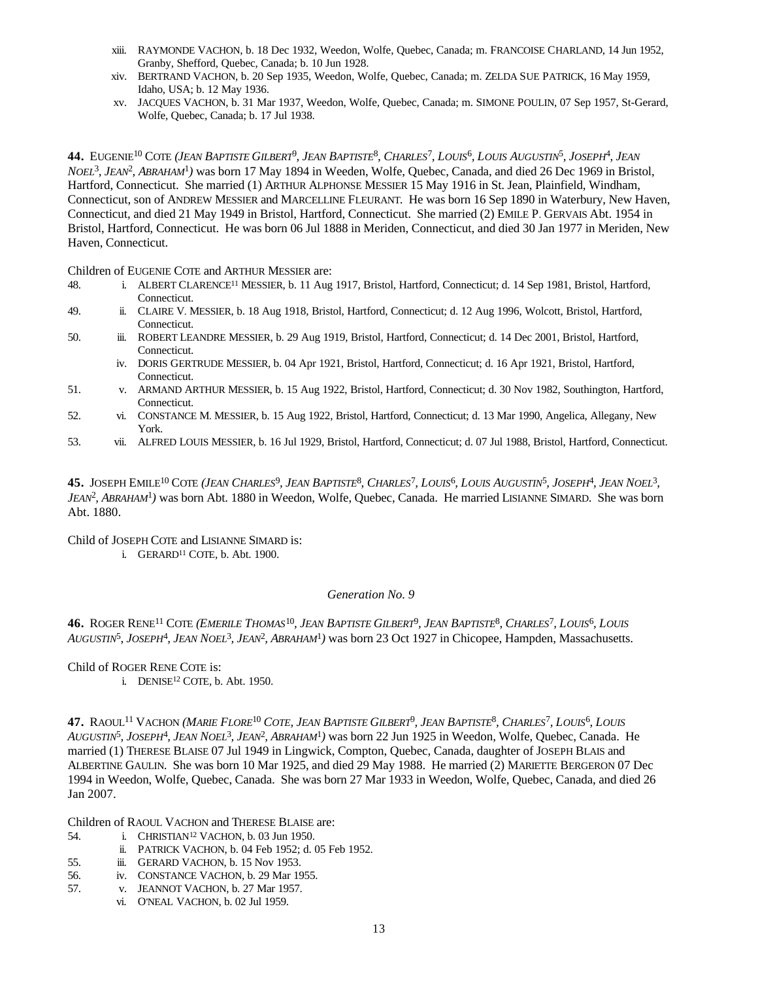- xiii. RAYMONDE VACHON, b. 18 Dec 1932, Weedon, Wolfe, Quebec, Canada; m. FRANCOISE CHARLAND, 14 Jun 1952, Granby, Shefford, Quebec, Canada; b. 10 Jun 1928.
- xiv. BERTRAND VACHON, b. 20 Sep 1935, Weedon, Wolfe, Quebec, Canada; m. ZELDA SUE PATRICK, 16 May 1959, Idaho, USA; b. 12 May 1936.
- xv. JACQUES VACHON, b. 31 Mar 1937, Weedon, Wolfe, Quebec, Canada; m. SIMONE POULIN, 07 Sep 1957, St-Gerard, Wolfe, Quebec, Canada; b. 17 Jul 1938.

44. EUGENIE<sup>10</sup> COTE (*JEAN BAPTISTE GILBERT<sup>9</sup>, JEAN BAPTISTE<sup>8</sup>, CHARLES<sup>7</sup>, LOUIS<sup>6</sup>, LOUIS AUGUSTIN<sup>5</sup>, JOSEPH<sup>4</sup>, JEAN NOEL*<sup>3</sup> *, JEAN*<sup>2</sup> *, ABRAHAM*<sup>1</sup> *)* was born 17 May 1894 in Weeden, Wolfe, Quebec, Canada, and died 26 Dec 1969 in Bristol, Hartford, Connecticut. She married (1) ARTHUR ALPHONSE MESSIER 15 May 1916 in St. Jean, Plainfield, Windham, Connecticut, son of ANDREW MESSIER and MARCELLINE FLEURANT. He was born 16 Sep 1890 in Waterbury, New Haven, Connecticut, and died 21 May 1949 in Bristol, Hartford, Connecticut. She married (2) EMILE P. GERVAIS Abt. 1954 in Bristol, Hartford, Connecticut. He was born 06 Jul 1888 in Meriden, Connecticut, and died 30 Jan 1977 in Meriden, New Haven, Connecticut.

Children of EUGENIE COTE and ARTHUR MESSIER are:

- 48. i. ALBERT CLARENCE<sup>11</sup> MESSIER, b. 11 Aug 1917, Bristol, Hartford, Connecticut; d. 14 Sep 1981, Bristol, Hartford, Connecticut.
- 49. ii. CLAIRE V. MESSIER, b. 18 Aug 1918, Bristol, Hartford, Connecticut; d. 12 Aug 1996, Wolcott, Bristol, Hartford, Connecticut.
- 50. iii. ROBERT LEANDRE MESSIER, b. 29 Aug 1919, Bristol, Hartford, Connecticut; d. 14 Dec 2001, Bristol, Hartford, Connecticut.
	- iv. DORIS GERTRUDE MESSIER, b. 04 Apr 1921, Bristol, Hartford, Connecticut; d. 16 Apr 1921, Bristol, Hartford, Connecticut.
- 51. v. ARMAND ARTHUR MESSIER, b. 15 Aug 1922, Bristol, Hartford, Connecticut; d. 30 Nov 1982, Southington, Hartford, Connecticut.
- 52. vi. CONSTANCE M. MESSIER, b. 15 Aug 1922, Bristol, Hartford, Connecticut; d. 13 Mar 1990, Angelica, Allegany, New York.
- 53. vii. ALFRED LOUIS MESSIER, b. 16 Jul 1929, Bristol, Hartford, Connecticut; d. 07 Jul 1988, Bristol, Hartford, Connecticut.

45. JOSEPH EMILE<sup>10</sup> COTE (*JEAN CHARLES<sup>9</sup>, JEAN BAPTISTE<sup>8</sup>, CHARLES<sup>7</sup>, LOUIS<sup>6</sup>, LOUIS AUGUSTIN<sup>5</sup>, JOSEPH<sup>4</sup>, JEAN NOEL<sup>3</sup>, JEAN*<sup>2</sup> *, ABRAHAM*<sup>1</sup> *)* was born Abt. 1880 in Weedon, Wolfe, Quebec, Canada. He married LISIANNE SIMARD. She was born Abt. 1880.

Child of JOSEPH COTE and LISIANNE SIMARD is:

i. GERARD<sup>11</sup> COTE, b. Abt. 1900.

# *Generation No. 9*

**46.** ROGER RENE<sup>11</sup> COTE (EMERILE THOMAS<sup>10</sup>, JEAN BAPTISTE GILBERT<sup>9</sup>, JEAN BAPTISTE<sup>8</sup>, CHARLES<sup>7</sup>, LOUIS<sup>6</sup>, LOUIS *AUGUSTIN*<sup>5</sup> *, JOSEPH*<sup>4</sup> *, JEAN NOEL*<sup>3</sup> *, JEAN*<sup>2</sup> *, ABRAHAM*<sup>1</sup> *)* was born 23 Oct 1927 in Chicopee, Hampden, Massachusetts.

Child of ROGER RENE COTE is:

i. DENISE $^{12}$  COTE, b. Abt. 1950.

47. RAOUL<sup>11</sup> VACHON (*MARIE FLORE<sup>10</sup> COTE, JEAN BAPTISTE GILBERT<sup>9</sup>, JEAN BAPTISTE<sup>8</sup>, CHARLES<sup>7</sup>, LOUIS<sup>6</sup>, LOUIS AUGUSTIN*<sup>5</sup> *, JOSEPH*<sup>4</sup> *, JEAN NOEL*<sup>3</sup> *, JEAN*<sup>2</sup> *, ABRAHAM*<sup>1</sup> *)* was born 22 Jun 1925 in Weedon, Wolfe, Quebec, Canada. He married (1) THERESE BLAISE 07 Jul 1949 in Lingwick, Compton, Quebec, Canada, daughter of JOSEPH BLAIS and ALBERTINE GAULIN. She was born 10 Mar 1925, and died 29 May 1988. He married (2) MARIETTE BERGERON 07 Dec 1994 in Weedon, Wolfe, Quebec, Canada. She was born 27 Mar 1933 in Weedon, Wolfe, Quebec, Canada, and died 26 Jan 2007.

Children of RAOUL VACHON and THERESE BLAISE are:

- 54. i. CHRISTIAN<sup>12</sup> VACHON, b. 03 Jun 1950.
- ii. PATRICK VACHON, b. 04 Feb 1952; d. 05 Feb 1952.
- 55. iii. GERARD VACHON, b. 15 Nov 1953.
- 56. iv. CONSTANCE VACHON, b. 29 Mar 1955.
- 57. v. JEANNOT VACHON, b. 27 Mar 1957.
	- vi. O'NEAL VACHON, b. 02 Jul 1959.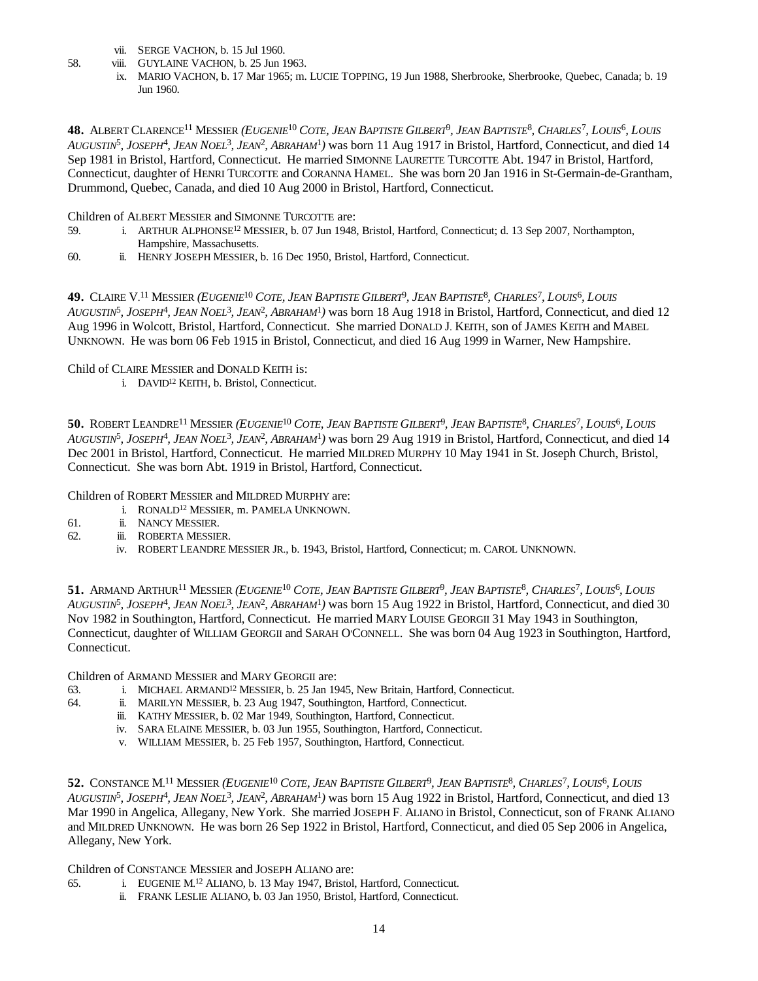- vii. SERGE VACHON, b. 15 Jul 1960.
- 58. viii. GUYLAINE VACHON, b. 25 Jun 1963.
	- ix. MARIO VACHON, b. 17 Mar 1965; m. LUCIE TOPPING, 19 Jun 1988, Sherbrooke, Sherbrooke, Quebec, Canada; b. 19 Jun 1960.

**48.** ALBERT CLARENCE<sup>11</sup> MESSIER (*EUGENIE<sup>10</sup> COTE, JEAN BAPTISTE GILBERT<sup>9</sup>, JEAN BAPTISTE<sup>8</sup>, CHARLES<sup>7</sup>, LOUIS<sup>6</sup>, LOUIS AUGUSTIN*<sup>5</sup> *, JOSEPH*<sup>4</sup> *, JEAN NOEL*<sup>3</sup> *, JEAN*<sup>2</sup> *, ABRAHAM*<sup>1</sup> *)* was born 11 Aug 1917 in Bristol, Hartford, Connecticut, and died 14 Sep 1981 in Bristol, Hartford, Connecticut. He married SIMONNE LAURETTE TURCOTTE Abt. 1947 in Bristol, Hartford, Connecticut, daughter of HENRI TURCOTTE and CORANNA HAMEL. She was born 20 Jan 1916 in St-Germain-de-Grantham, Drummond, Quebec, Canada, and died 10 Aug 2000 in Bristol, Hartford, Connecticut.

Children of ALBERT MESSIER and SIMONNE TURCOTTE are:

- 59. i. ARTHUR ALPHONSE<sup>12</sup> MESSIER, b. 07 Jun 1948, Bristol, Hartford, Connecticut; d. 13 Sep 2007, Northampton, Hampshire, Massachusetts.
- 60. ii. HENRY JOSEPH MESSIER, b. 16 Dec 1950, Bristol, Hartford, Connecticut.

49. CLAIRE V.<sup>11</sup> MESSIER (*EUGENIE<sup>10</sup> COTE, JEAN BAPTISTE GILBERT<sup>9</sup>, JEAN BAPTISTE<sup>8</sup>, CHARLES<sup>7</sup>, LOUIS<sup>6</sup>, LOUIS AUGUSTIN*<sup>5</sup> *, JOSEPH*<sup>4</sup> *, JEAN NOEL*<sup>3</sup> *, JEAN*<sup>2</sup> *, ABRAHAM*<sup>1</sup> *)* was born 18 Aug 1918 in Bristol, Hartford, Connecticut, and died 12 Aug 1996 in Wolcott, Bristol, Hartford, Connecticut. She married DONALD J. KEITH, son of JAMES KEITH and MABEL UNKNOWN. He was born 06 Feb 1915 in Bristol, Connecticut, and died 16 Aug 1999 in Warner, New Hampshire.

Child of CLAIRE MESSIER and DONALD KEITH is:

i. DAVID<sup>12</sup> KEITH, b. Bristol, Connecticut.

50. ROBERT LEANDRE<sup>11</sup> MESSIER (*EUGENIE<sup>10</sup> COTE, JEAN BAPTISTE GILBERT<sup>9</sup>, JEAN BAPTISTE<sup>8</sup>, CHARLES<sup>7</sup>, LOUIS<sup>6</sup>, LOUIS AUGUSTIN*<sup>5</sup> *, JOSEPH*<sup>4</sup> *, JEAN NOEL*<sup>3</sup> *, JEAN*<sup>2</sup> *, ABRAHAM*<sup>1</sup> *)* was born 29 Aug 1919 in Bristol, Hartford, Connecticut, and died 14 Dec 2001 in Bristol, Hartford, Connecticut. He married MILDRED MURPHY 10 May 1941 in St. Joseph Church, Bristol, Connecticut. She was born Abt. 1919 in Bristol, Hartford, Connecticut.

Children of ROBERT MESSIER and MILDRED MURPHY are:

- i. RONALD<sup>12</sup> MESSIER, m. PAMELA UNKNOWN.
- 61. ii. NANCY MESSIER.
- 62. iii. ROBERTA MESSIER.
	- iv. ROBERT LEANDRE MESSIER JR., b. 1943, Bristol, Hartford, Connecticut; m. CAROL UNKNOWN.

**51.** ARMAND ARTHUR<sup>11</sup> MESSIER *(EUGENIE<sup>10</sup> COTE, JEAN BAPTISTE GILBERT<sup>9</sup>, JEAN BAPTISTE<sup>8</sup>, CHARLES<sup>7</sup>, LOUIS<sup>6</sup>, LOUIS AUGUSTIN*<sup>5</sup> *, JOSEPH*<sup>4</sup> *, JEAN NOEL*<sup>3</sup> *, JEAN*<sup>2</sup> *, ABRAHAM*<sup>1</sup> *)* was born 15 Aug 1922 in Bristol, Hartford, Connecticut, and died 30 Nov 1982 in Southington, Hartford, Connecticut. He married MARY LOUISE GEORGII 31 May 1943 in Southington, Connecticut, daughter of WILLIAM GEORGII and SARAH O'CONNELL. She was born 04 Aug 1923 in Southington, Hartford, Connecticut.

Children of ARMAND MESSIER and MARY GEORGII are:

- 63. i. MICHAEL ARMAND<sup>12</sup> MESSIER, b. 25 Jan 1945, New Britain, Hartford, Connecticut.
- 64. ii. MARILYN MESSIER, b. 23 Aug 1947, Southington, Hartford, Connecticut.
	- iii. KATHY MESSIER, b. 02 Mar 1949, Southington, Hartford, Connecticut.
	- iv. SARA ELAINE MESSIER, b. 03 Jun 1955, Southington, Hartford, Connecticut.
	- v. WILLIAM MESSIER, b. 25 Feb 1957, Southington, Hartford, Connecticut.

**52.** CONSTANCE  $\mathrm{M}^{11}$  MESSIER *(EUGENIE<sup>10</sup> COTE, JEAN BAPTISTE GILBERT<sup>9</sup>, JEAN BAPTISTE<sup>8</sup>, CHARLES<sup>7</sup>, LOUIS<sup>6</sup>, LOUIS AUGUSTIN*<sup>5</sup> *, JOSEPH*<sup>4</sup> *, JEAN NOEL*<sup>3</sup> *, JEAN*<sup>2</sup> *, ABRAHAM*<sup>1</sup> *)* was born 15 Aug 1922 in Bristol, Hartford, Connecticut, and died 13 Mar 1990 in Angelica, Allegany, New York. She married JOSEPH F. ALIANO in Bristol, Connecticut, son of FRANK ALIANO and MILDRED UNKNOWN. He was born 26 Sep 1922 in Bristol, Hartford, Connecticut, and died 05 Sep 2006 in Angelica, Allegany, New York.

Children of CONSTANCE MESSIER and JOSEPH ALIANO are:

- 65. i. EUGENIE M. <sup>12</sup> ALIANO, b. 13 May 1947, Bristol, Hartford, Connecticut.
	- ii. FRANK LESLIE ALIANO, b. 03 Jan 1950, Bristol, Hartford, Connecticut.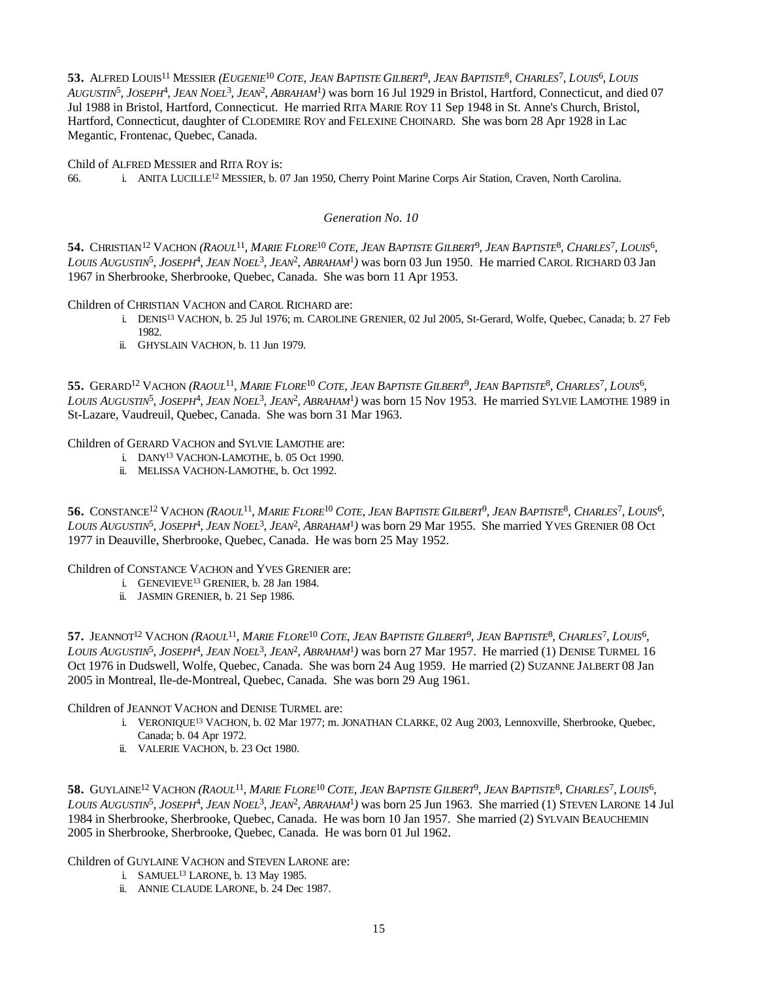53. ALFRED LOUIS<sup>11</sup> MESSIER (*EUGENIE<sup>10</sup> COTE, JEAN BAPTISTE GILBERT<sup>9</sup>, JEAN BAPTISTE<sup>8</sup>, CHARLES<sup>7</sup>, LOUIS<sup>6</sup>, LOUIS AUGUSTIN*<sup>5</sup> *, JOSEPH*<sup>4</sup> *, JEAN NOEL*<sup>3</sup> *, JEAN*<sup>2</sup> *, ABRAHAM*<sup>1</sup> *)* was born 16 Jul 1929 in Bristol, Hartford, Connecticut, and died 07 Jul 1988 in Bristol, Hartford, Connecticut. He married RITA MARIE ROY 11 Sep 1948 in St. Anne's Church, Bristol, Hartford, Connecticut, daughter of CLODEMIRE ROY and FELEXINE CHOINARD. She was born 28 Apr 1928 in Lac Megantic, Frontenac, Quebec, Canada.

Child of ALFRED MESSIER and RITA ROY is:

66. i. ANITA LUCILLE<sup>12</sup> MESSIER, b. 07 Jan 1950, Cherry Point Marine Corps Air Station, Craven, North Carolina.

#### *Generation No. 10*

54. CHRISTIAN<sup>12</sup> VACHON (RAOUL<sup>11</sup>, MARIE FLORE<sup>10</sup> COTE, JEAN BAPTISTE GILBERT<sup>9</sup>, JEAN BAPTISTE<sup>8</sup>, CHARLES<sup>7</sup>, LOUIS<sup>6</sup>, *LOUIS AUGUSTIN*<sup>5</sup> *, JOSEPH*<sup>4</sup> *, JEAN NOEL*<sup>3</sup> *, JEAN*<sup>2</sup> *, ABRAHAM*<sup>1</sup> *)* was born 03 Jun 1950. He married CAROL RICHARD 03 Jan 1967 in Sherbrooke, Sherbrooke, Quebec, Canada. She was born 11 Apr 1953.

Children of CHRISTIAN VACHON and CAROL RICHARD are:

- i. DENIS<sup>13</sup> VACHON, b. 25 Jul 1976; m. CAROLINE GRENIER, 02 Jul 2005, St-Gerard, Wolfe, Quebec, Canada; b. 27 Feb 1982.
- ii. GHYSLAIN VACHON, b. 11 Jun 1979.

55. GERARD<sup>12</sup> VACHON (*RAOUL<sup>11</sup>, MARIE FLORE<sup>10</sup> COTE, JEAN BAPTISTE GILBERT<sup>9</sup>, JEAN BAPTISTE<sup>8</sup>, CHARLES<sup>7</sup>, LOUIS<sup>6</sup>, LOUIS AUGUSTIN*<sup>5</sup> *, JOSEPH*<sup>4</sup> *, JEAN NOEL*<sup>3</sup> *, JEAN*<sup>2</sup> *, ABRAHAM*<sup>1</sup> *)* was born 15 Nov 1953. He married SYLVIE LAMOTHE 1989 in St-Lazare, Vaudreuil, Quebec, Canada. She was born 31 Mar 1963.

## Children of GERARD VACHON and SYLVIE LAMOTHE are:

- i. DANY<sup>13</sup> VACHON-LAMOTHE, b. 05 Oct 1990.
- ii. MELISSA VACHON-LAMOTHE, b. Oct 1992.

56. CONSTANCE<sup>12</sup> VACHON (RAOUL<sup>11</sup>, MARIE FLORE<sup>10</sup> COTE, JEAN BAPTISTE GILBERT<sup>9</sup>, JEAN BAPTISTE<sup>8</sup>, CHARLES<sup>7</sup>, LOUIS<sup>6</sup>, *LOUIS AUGUSTIN*<sup>5</sup> *, JOSEPH*<sup>4</sup> *, JEAN NOEL*<sup>3</sup> *, JEAN*<sup>2</sup> *, ABRAHAM*<sup>1</sup> *)* was born 29 Mar 1955. She married YVES GRENIER 08 Oct 1977 in Deauville, Sherbrooke, Quebec, Canada. He was born 25 May 1952.

#### Children of CONSTANCE VACHON and YVES GRENIER are:

- i. GENEVIEVE<sup>13</sup> GRENIER, b. 28 Jan 1984.
- ii. JASMIN GRENIER, b. 21 Sep 1986.

57. JEANNOT<sup>12</sup> VACHON (RAOUL<sup>11</sup>, MARIE FLORE<sup>10</sup> COTE, JEAN BAPTISTE GILBERT<sup>9</sup>, JEAN BAPTISTE<sup>8</sup>, CHARLES<sup>7</sup>, LOUIS<sup>6</sup>, *LOUIS AUGUSTIN*<sup>5</sup> *, JOSEPH*<sup>4</sup> *, JEAN NOEL*<sup>3</sup> *, JEAN*<sup>2</sup> *, ABRAHAM*<sup>1</sup> *)* was born 27 Mar 1957. He married (1) DENISE TURMEL 16 Oct 1976 in Dudswell, Wolfe, Quebec, Canada. She was born 24 Aug 1959. He married (2) SUZANNE JALBERT 08 Jan 2005 in Montreal, Ile-de-Montreal, Quebec, Canada. She was born 29 Aug 1961.

## Children of JEANNOT VACHON and DENISE TURMEL are:

- i. VERONIQUE<sup>13</sup> VACHON, b. 02 Mar 1977; m. JONATHAN CLARKE, 02 Aug 2003, Lennoxville, Sherbrooke, Quebec, Canada; b. 04 Apr 1972.
- ii. VALERIE VACHON, b. 23 Oct 1980.

58. GUYLAINE<sup>12</sup> VACHON (RAOUL<sup>11</sup>, MARIE FLORE<sup>10</sup> COTE, JEAN BAPTISTE GILBERT<sup>9</sup>, JEAN BAPTISTE<sup>8</sup>, CHARLES<sup>7</sup>, LOUIS<sup>6</sup>, *LOUIS AUGUSTIN*<sup>5</sup> *, JOSEPH*<sup>4</sup> *, JEAN NOEL*<sup>3</sup> *, JEAN*<sup>2</sup> *, ABRAHAM*<sup>1</sup> *)* was born 25 Jun 1963. She married (1) STEVEN LARONE 14 Jul 1984 in Sherbrooke, Sherbrooke, Quebec, Canada. He was born 10 Jan 1957. She married (2) SYLVAIN BEAUCHEMIN 2005 in Sherbrooke, Sherbrooke, Quebec, Canada. He was born 01 Jul 1962.

Children of GUYLAINE VACHON and STEVEN LARONE are:

- i. SAMUEL<sup>13</sup> LARONE, b. 13 May 1985.
- ii. ANNIE CLAUDE LARONE, b. 24 Dec 1987.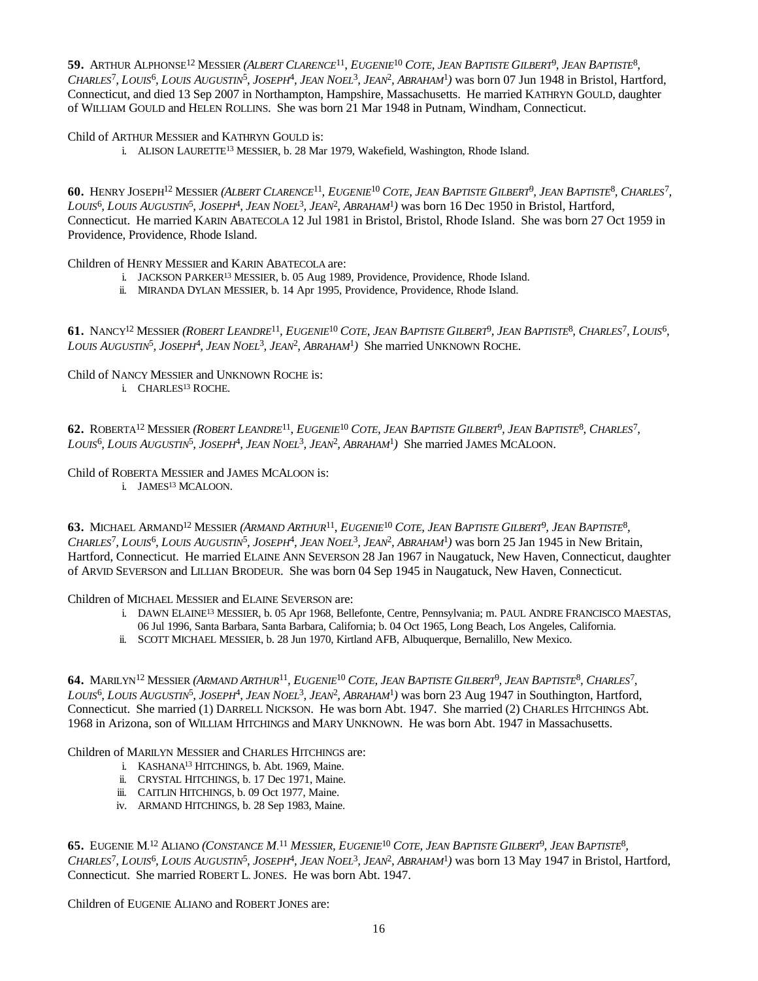**59.** ARTHUR ALPHONSE<sup>12</sup> MESSIER (ALBERT CLARENCE<sup>11</sup>, EUGENIE<sup>10</sup> COTE, JEAN BAPTISTE GILBERT<sup>9</sup>, JEAN BAPTISTE<sup>8</sup>, CHARLES<sup>7</sup>, LOUIS<sup>6</sup>, LOUIS AUGUSTIN<sup>5</sup>, JOSEPH<sup>4</sup>, JEAN NOEL<sup>3</sup>, JEAN<sup>2</sup>, ABRAHAM<sup>1</sup>) was born 07 Jun 1948 in Bristol, Hartford, Connecticut, and died 13 Sep 2007 in Northampton, Hampshire, Massachusetts. He married KATHRYN GOULD, daughter of WILLIAM GOULD and HELEN ROLLINS. She was born 21 Mar 1948 in Putnam, Windham, Connecticut.

Child of ARTHUR MESSIER and KATHRYN GOULD is:

i. ALISON LAURETTE<sup>13</sup> MESSIER, b. 28 Mar 1979, Wakefield, Washington, Rhode Island.

60. HENRY JOSEPH<sup>12</sup> MESSIER (ALBERT CLARENCE<sup>11</sup>, EUGENIE<sup>10</sup> COTE, JEAN BAPTISTE GILBERT<sup>9</sup>, JEAN BAPTISTE<sup>8</sup>, CHARLES<sup>7</sup>, LOUIS<sup>6</sup>, LOUIS AUGUSTIN<sup>5</sup>, JOSEPH<sup>4</sup>, JEAN NOEL<sup>3</sup>, JEAN<sup>2</sup>, ABRAHAM<sup>1</sup>) was born 16 Dec 1950 in Bristol, Hartford, Connecticut. He married KARIN ABATECOLA 12 Jul 1981 in Bristol, Bristol, Rhode Island. She was born 27 Oct 1959 in Providence, Providence, Rhode Island.

Children of HENRY MESSIER and KARIN ABATECOLA are:

- i. JACKSON PARKER<sup>13</sup> MESSIER, b. 05 Aug 1989, Providence, Providence, Rhode Island.
- ii. MIRANDA DYLAN MESSIER, b. 14 Apr 1995, Providence, Providence, Rhode Island.

61. NANCY<sup>12</sup> MESSIER (ROBERT LEANDRE<sup>11</sup>, EUGENIE<sup>10</sup> COTE, JEAN BAPTISTE GILBERT<sup>9</sup>, JEAN BAPTISTE<sup>8</sup>, CHARLES<sup>7</sup>, LOUIS<sup>6</sup>, *LOUIS AUGUSTIN*<sup>5</sup> *, JOSEPH*<sup>4</sup> *, JEAN NOEL*<sup>3</sup> *, JEAN*<sup>2</sup> *, ABRAHAM*<sup>1</sup> *)* She married UNKNOWN ROCHE.

Child of NANCY MESSIER and UNKNOWN ROCHE is:

i. CHARLES<sup>13</sup> ROCHE.

62. ROBERTA<sup>12</sup> MESSIER (ROBERT LEANDRE<sup>11</sup>, EUGENIE<sup>10</sup> COTE, JEAN BAPTISTE GILBERT<sup>9</sup>, JEAN BAPTISTE<sup>8</sup>, CHARLES<sup>7</sup>, *LOUIS*<sup>6</sup> *, LOUIS AUGUSTIN*<sup>5</sup> *, JOSEPH*<sup>4</sup> *, JEAN NOEL*<sup>3</sup> *, JEAN*<sup>2</sup> *, ABRAHAM*<sup>1</sup> *)* She married JAMES MCALOON.

Child of ROBERTA MESSIER and JAMES MCALOON is:

i. JAMES<sup>13</sup> MCALOON.

**63.** MICHAEL ARMAND<sup>12</sup> MESSIER (ARMAND ARTHUR<sup>11</sup>, EUGENIE<sup>10</sup> COTE, JEAN BAPTISTE GILBERT<sup>9</sup>, JEAN BAPTISTE<sup>8</sup>, CHARLES<sup>7</sup>, LOUIS<sup>6</sup>, LOUIS AUGUSTIN<sup>5</sup>, JOSEPH<sup>4</sup>, JEAN NOEL<sup>3</sup>, JEAN<sup>2</sup>, ABRAHAM<sup>1</sup>) was born 25 Jan 1945 in New Britain, Hartford, Connecticut. He married ELAINE ANN SEVERSON 28 Jan 1967 in Naugatuck, New Haven, Connecticut, daughter of ARVID SEVERSON and LILLIAN BRODEUR. She was born 04 Sep 1945 in Naugatuck, New Haven, Connecticut.

Children of MICHAEL MESSIER and ELAINE SEVERSON are:

- i. DAWN ELAINE<sup>13</sup> MESSIER, b. 05 Apr 1968, Bellefonte, Centre, Pennsylvania; m. PAUL ANDRE FRANCISCO MAESTAS,
- 06 Jul 1996, Santa Barbara, Santa Barbara, California; b. 04 Oct 1965, Long Beach, Los Angeles, California.
- ii. SCOTT MICHAEL MESSIER, b. 28 Jun 1970, Kirtland AFB, Albuquerque, Bernalillo, New Mexico.

64. MARILYN<sup>12</sup> MESSIER (ARMAND ARTHUR<sup>11</sup>, EUGENIE<sup>10</sup> COTE, JEAN BAPTISTE GILBERT<sup>9</sup>, JEAN BAPTISTE<sup>8</sup>, CHARLES<sup>7</sup>, LOUIS<sup>6</sup>, LOUIS AUGUSTIN<sup>5</sup>, JOSEPH<sup>4</sup>, JEAN NOEL<sup>3</sup>, JEAN<sup>2</sup>, ABRAHAM<sup>1</sup>) was born 23 Aug 1947 in Southington, Hartford, Connecticut. She married (1) DARRELL NICKSON. He was born Abt. 1947. She married (2) CHARLES HITCHINGS Abt. 1968 in Arizona, son of WILLIAM HITCHINGS and MARY UNKNOWN. He was born Abt. 1947 in Massachusetts.

Children of MARILYN MESSIER and CHARLES HITCHINGS are:

- i. KASHANA<sup>13</sup> HITCHINGS, b. Abt. 1969, Maine.
- ii. CRYSTAL HITCHINGS, b. 17 Dec 1971, Maine.
- iii. CAITLIN HITCHINGS, b. 09 Oct 1977, Maine.
- iv. ARMAND HITCHINGS, b. 28 Sep 1983, Maine.

**65.** EUGENIE M.<sup>12</sup> ALIANO (*CONSTANCE M.<sup>11</sup> MESSIER, EUGENIE<sup>10</sup> COTE, JEAN BAPTISTE GILBERT<sup>9</sup>, JEAN BAPTISTE<sup>8</sup>,* CHARLES<sup>7</sup>, LOUIS<sup>6</sup>, LOUIS AUGUSTIN<sup>5</sup>, JOSEPH<sup>4</sup>, JEAN NOEL<sup>3</sup>, JEAN<sup>2</sup>, ABRAHAM<sup>1</sup>) was born 13 May 1947 in Bristol, Hartford, Connecticut. She married ROBERT L. JONES. He was born Abt. 1947.

Children of EUGENIE ALIANO and ROBERT JONES are: